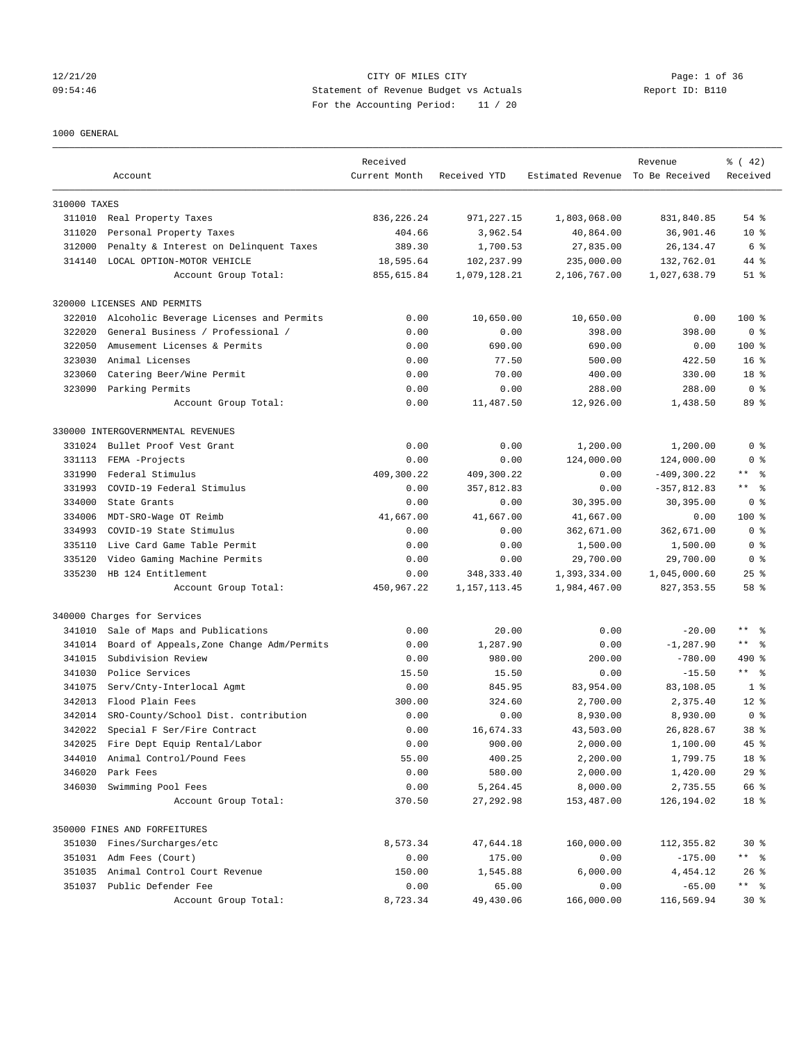## 12/21/20 CITY OF MILES CITY Page: 1 of 36 09:54:46 Statement of Revenue Budget vs Actuals Report ID: B110 For the Accounting Period: 11 / 20

### 1000 GENERAL

|              |                                           | Received      |              |                                  | Revenue        | $\frac{1}{6}$ ( 42) |
|--------------|-------------------------------------------|---------------|--------------|----------------------------------|----------------|---------------------|
|              | Account                                   | Current Month | Received YTD | Estimated Revenue To Be Received |                | Received            |
| 310000 TAXES |                                           |               |              |                                  |                |                     |
|              | 311010 Real Property Taxes                | 836, 226. 24  | 971,227.15   | 1,803,068.00                     | 831,840.85     | $54$ $%$            |
| 311020       | Personal Property Taxes                   | 404.66        | 3,962.54     | 40,864.00                        | 36,901.46      | $10*$               |
| 312000       | Penalty & Interest on Delinquent Taxes    | 389.30        | 1,700.53     | 27,835.00                        | 26, 134. 47    | 6 %                 |
| 314140       | LOCAL OPTION-MOTOR VEHICLE                | 18,595.64     | 102,237.99   | 235,000.00                       | 132,762.01     | 44 %                |
|              | Account Group Total:                      | 855,615.84    | 1,079,128.21 | 2,106,767.00                     | 1,027,638.79   | $51$ $\frac{6}{3}$  |
|              | 320000 LICENSES AND PERMITS               |               |              |                                  |                |                     |
| 322010       | Alcoholic Beverage Licenses and Permits   | 0.00          | 10,650.00    | 10,650.00                        | 0.00           | $100$ %             |
| 322020       | General Business / Professional /         | 0.00          | 0.00         | 398.00                           | 398.00         | 0 <sup>8</sup>      |
| 322050       | Amusement Licenses & Permits              | 0.00          | 690.00       | 690.00                           | 0.00           | $100$ %             |
| 323030       | Animal Licenses                           | 0.00          | 77.50        | 500.00                           | 422.50         | 16 <sup>8</sup>     |
| 323060       | Catering Beer/Wine Permit                 | 0.00          | 70.00        | 400.00                           | 330.00         | 18 %                |
| 323090       | Parking Permits                           | 0.00          | 0.00         | 288.00                           | 288.00         | 0 <sup>8</sup>      |
|              | Account Group Total:                      | 0.00          | 11,487.50    | 12,926.00                        | 1,438.50       | 89 %                |
|              | 330000 INTERGOVERNMENTAL REVENUES         |               |              |                                  |                |                     |
| 331024       | Bullet Proof Vest Grant                   | 0.00          | 0.00         | 1,200.00                         | 1,200.00       | 0 <sup>8</sup>      |
| 331113       | FEMA -Projects                            | 0.00          | 0.00         | 124,000.00                       | 124,000.00     | 0 <sup>8</sup>      |
| 331990       | Federal Stimulus                          | 409,300.22    | 409,300.22   | 0.00                             | $-409, 300.22$ | $\star\star$<br>- 옹 |
| 331993       | COVID-19 Federal Stimulus                 | 0.00          | 357,812.83   | 0.00                             | $-357,812.83$  | $***$ $ -$          |
| 334000       | State Grants                              | 0.00          | 0.00         | 30,395.00                        | 30,395.00      | 0 <sup>8</sup>      |
| 334006       | MDT-SRO-Wage OT Reimb                     | 41,667.00     | 41,667.00    | 41,667.00                        | 0.00           | $100$ %             |
| 334993       | COVID-19 State Stimulus                   | 0.00          | 0.00         | 362,671.00                       | 362,671.00     | 0 <sup>8</sup>      |
| 335110       | Live Card Game Table Permit               | 0.00          | 0.00         | 1,500.00                         | 1,500.00       | 0 <sup>8</sup>      |
| 335120       | Video Gaming Machine Permits              | 0.00          | 0.00         | 29,700.00                        | 29,700.00      | 0 <sup>8</sup>      |
| 335230       | HB 124 Entitlement                        | 0.00          | 348, 333.40  | 1,393,334.00                     | 1,045,000.60   | $25$ $%$            |
|              | Account Group Total:                      | 450,967.22    | 1,157,113.45 | 1,984,467.00                     | 827, 353.55    | 58 %                |
|              |                                           |               |              |                                  |                |                     |
|              | 340000 Charges for Services               |               |              |                                  |                |                     |
| 341010       | Sale of Maps and Publications             | 0.00          | 20.00        | 0.00                             | $-20.00$       | $***$ $ -$          |
| 341014       | Board of Appeals, Zone Change Adm/Permits | 0.00          | 1,287.90     | 0.00                             | $-1, 287.90$   | $***$ $ -$          |
| 341015       | Subdivision Review                        | 0.00          | 980.00       | 200.00                           | $-780.00$      | 490 %               |
| 341030       | Police Services                           | 15.50         | 15.50        | 0.00                             | $-15.50$       | $\star\star$<br>ి   |
| 341075       | Serv/Cnty-Interlocal Agmt                 | 0.00          | 845.95       | 83,954.00                        | 83,108.05      | 1 <sup>8</sup>      |
| 342013       | Flood Plain Fees                          | 300.00        | 324.60       | 2,700.00                         | 2,375.40       | $12*$               |
| 342014       | SRO-County/School Dist. contribution      | 0.00          | 0.00         | 8,930.00                         | 8,930.00       | 0 <sup>8</sup>      |
| 342022       | Special F Ser/Fire Contract               | 0.00          | 16,674.33    | 43,503.00                        | 26,828.67      | 38 %                |
|              | 342025 Fire Dept Equip Rental/Labor       | 0.00          | 900.00       | 2,000.00                         | 1,100.00       | 45 %                |
| 344010       | Animal Control/Pound Fees                 | 55.00         | 400.25       | 2,200.00                         | 1,799.75       | 18 %                |
| 346020       | Park Fees                                 | 0.00          | 580.00       | 2,000.00                         | 1,420.00       | 29%                 |
| 346030       | Swimming Pool Fees                        | 0.00          | 5,264.45     | 8,000.00                         | 2,735.55       | 66 %                |
|              | Account Group Total:                      | 370.50        | 27,292.98    | 153,487.00                       | 126,194.02     | 18 %                |
|              | 350000 FINES AND FORFEITURES              |               |              |                                  |                |                     |
|              | 351030 Fines/Surcharges/etc               | 8,573.34      | 47,644.18    | 160,000.00                       | 112,355.82     | $30*$               |
|              | 351031 Adm Fees (Court)                   | 0.00          | 175.00       | 0.00                             | $-175.00$      | ** 응                |
| 351035       | Animal Control Court Revenue              | 150.00        | 1,545.88     | 6,000.00                         | 4,454.12       | $26$ %              |
|              | 351037 Public Defender Fee                | 0.00          | 65.00        | 0.00                             | $-65.00$       |                     |
|              | Account Group Total:                      | 8,723.34      | 49,430.06    | 166,000.00                       | 116,569.94     | $30*$               |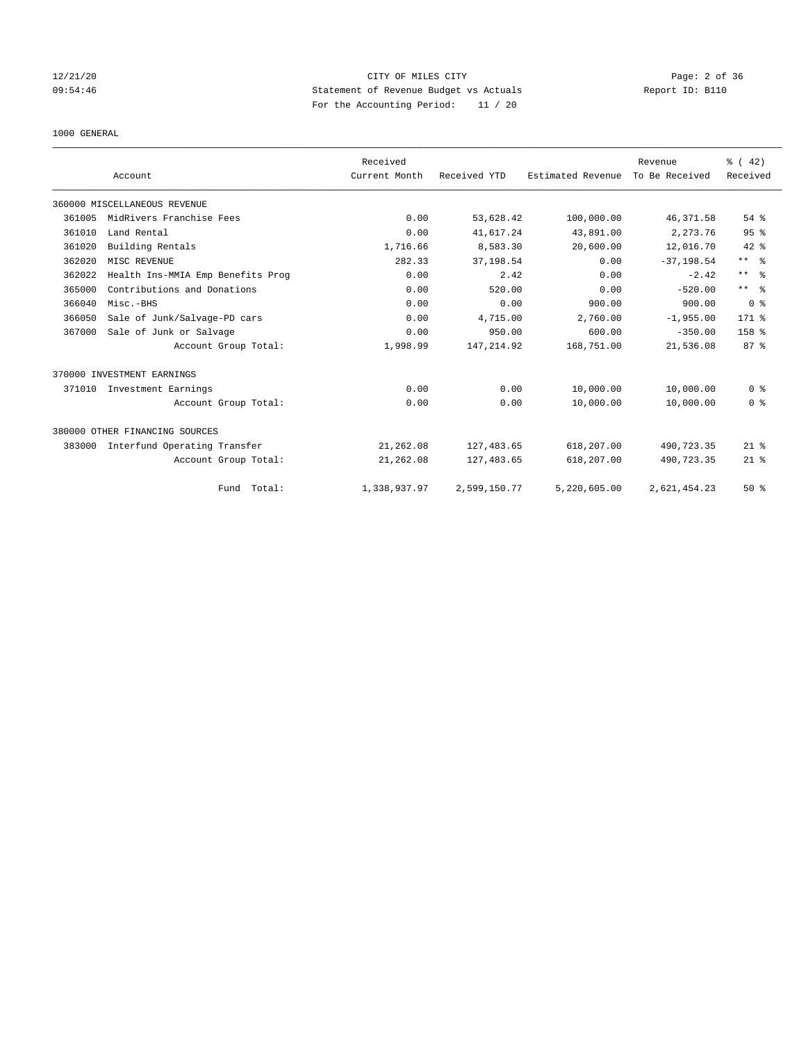## 12/21/20 CITY OF MILES CITY Page: 2 of 36 09:54:46 Statement of Revenue Budget vs Actuals Report ID: B110 For the Accounting Period: 11 / 20

### 1000 GENERAL

|        |                                   | Received      |              |                   | Revenue        | $\frac{3}{6}$ ( 42) |
|--------|-----------------------------------|---------------|--------------|-------------------|----------------|---------------------|
|        | Account                           | Current Month | Received YTD | Estimated Revenue | To Be Received | Received            |
|        | 360000 MISCELLANEOUS REVENUE      |               |              |                   |                |                     |
| 361005 | MidRivers Franchise Fees          | 0.00          | 53,628.42    | 100,000.00        | 46,371.58      | 54 %                |
| 361010 | Land Rental                       | 0.00          | 41,617.24    | 43,891.00         | 2,273.76       | 95%                 |
| 361020 | Building Rentals                  | 1,716.66      | 8,583.30     | 20,600.00         | 12,016.70      | $42*$               |
| 362020 | MISC REVENUE                      | 282.33        | 37,198.54    | 0.00              | $-37, 198.54$  | $***$ $\approx$     |
| 362022 | Health Ins-MMIA Emp Benefits Prog | 0.00          | 2.42         | 0.00              | $-2.42$        | $***$ $\approx$     |
| 365000 | Contributions and Donations       | 0.00          | 520.00       | 0.00              | $-520.00$      | $***$ $\approx$     |
| 366040 | Misc.-BHS                         | 0.00          | 0.00         | 900.00            | 900.00         | 0 <sup>8</sup>      |
| 366050 | Sale of Junk/Salvage-PD cars      | 0.00          | 4,715.00     | 2,760.00          | $-1,955.00$    | $171$ %             |
| 367000 | Sale of Junk or Salvage           | 0.00          | 950.00       | 600.00            | $-350.00$      | 158 %               |
|        | Account Group Total:              | 1,998.99      | 147, 214.92  | 168,751.00        | 21,536.08      | 87%                 |
|        | 370000 INVESTMENT EARNINGS        |               |              |                   |                |                     |
| 371010 | Investment Earnings               | 0.00          | 0.00         | 10,000.00         | 10,000.00      | 0 <sup>8</sup>      |
|        | Account Group Total:              | 0.00          | 0.00         | 10,000.00         | 10,000.00      | 0 <sup>8</sup>      |
|        | 380000 OTHER FINANCING SOURCES    |               |              |                   |                |                     |
| 383000 | Interfund Operating Transfer      | 21,262.08     | 127, 483.65  | 618,207.00        | 490,723.35     | $21$ %              |
|        | Account Group Total:              | 21,262.08     | 127, 483.65  | 618,207.00        | 490,723.35     | $21$ %              |
|        | Fund Total:                       | 1,338,937.97  | 2,599,150.77 | 5,220,605.00      | 2,621,454.23   | 50%                 |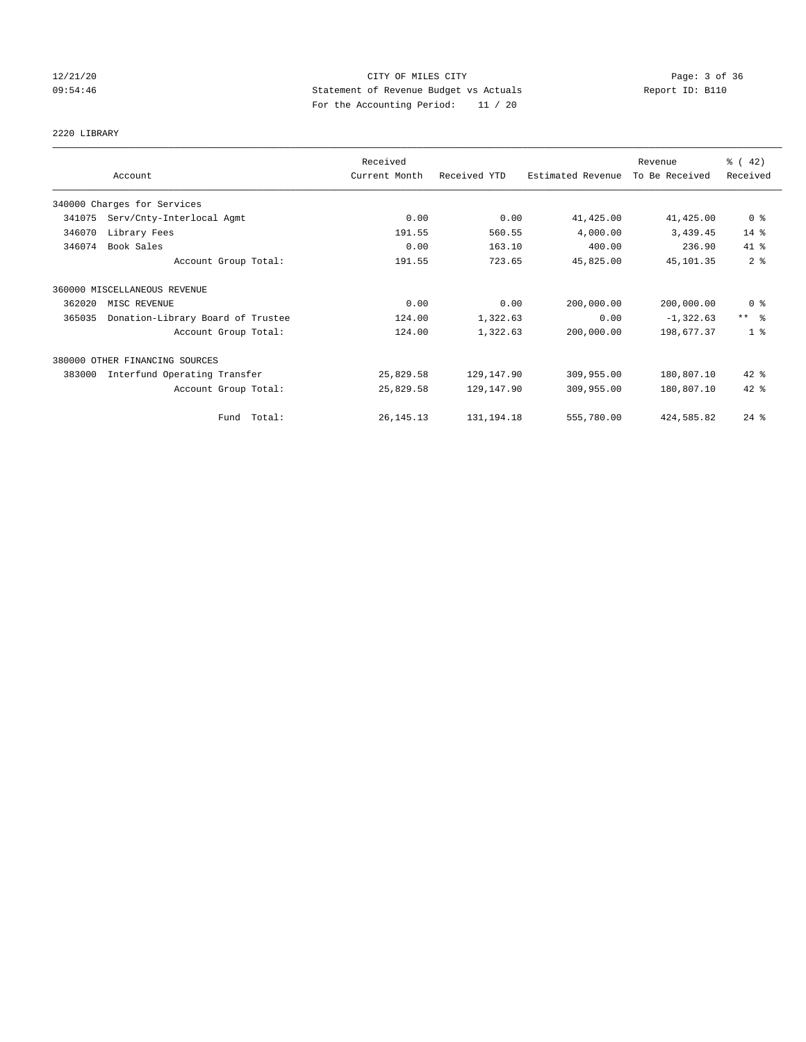## 12/21/20 CITY OF MILES CITY Page: 3 of 36 09:54:46 Statement of Revenue Budget vs Actuals Report ID: B110 For the Accounting Period: 11 / 20

2220 LIBRARY

|        |                                   | Received      |              |                   | Revenue        | $\frac{1}{6}$ ( 42) |
|--------|-----------------------------------|---------------|--------------|-------------------|----------------|---------------------|
|        | Account                           | Current Month | Received YTD | Estimated Revenue | To Be Received | Received            |
|        | 340000 Charges for Services       |               |              |                   |                |                     |
| 341075 | Serv/Cnty-Interlocal Agmt         | 0.00          | 0.00         | 41,425.00         | 41,425.00      | 0 <sup>8</sup>      |
| 346070 | Library Fees                      | 191.55        | 560.55       | 4,000.00          | 3,439.45       | $14$ %              |
| 346074 | Book Sales                        | 0.00          | 163.10       | 400.00            | 236.90         | 41 %                |
|        | Account Group Total:              | 191.55        | 723.65       | 45,825.00         | 45,101.35      | 2 <sup>8</sup>      |
|        | 360000 MISCELLANEOUS REVENUE      |               |              |                   |                |                     |
| 362020 | MISC REVENUE                      | 0.00          | 0.00         | 200,000.00        | 200,000.00     | 0 <sup>8</sup>      |
| 365035 | Donation-Library Board of Trustee | 124.00        | 1,322.63     | 0.00              | $-1,322.63$    | $***$ $\approx$     |
|        | Account Group Total:              | 124.00        | 1,322.63     | 200,000.00        | 198,677.37     | 1 <sup>8</sup>      |
|        | 380000 OTHER FINANCING SOURCES    |               |              |                   |                |                     |
| 383000 | Interfund Operating Transfer      | 25,829.58     | 129,147.90   | 309,955.00        | 180,807.10     | 42 %                |
|        | Account Group Total:              | 25,829.58     | 129,147.90   | 309,955.00        | 180,807.10     | 42 %                |
|        | Fund Total:                       | 26, 145. 13   | 131, 194. 18 | 555,780.00        | 424,585.82     | $24$ %              |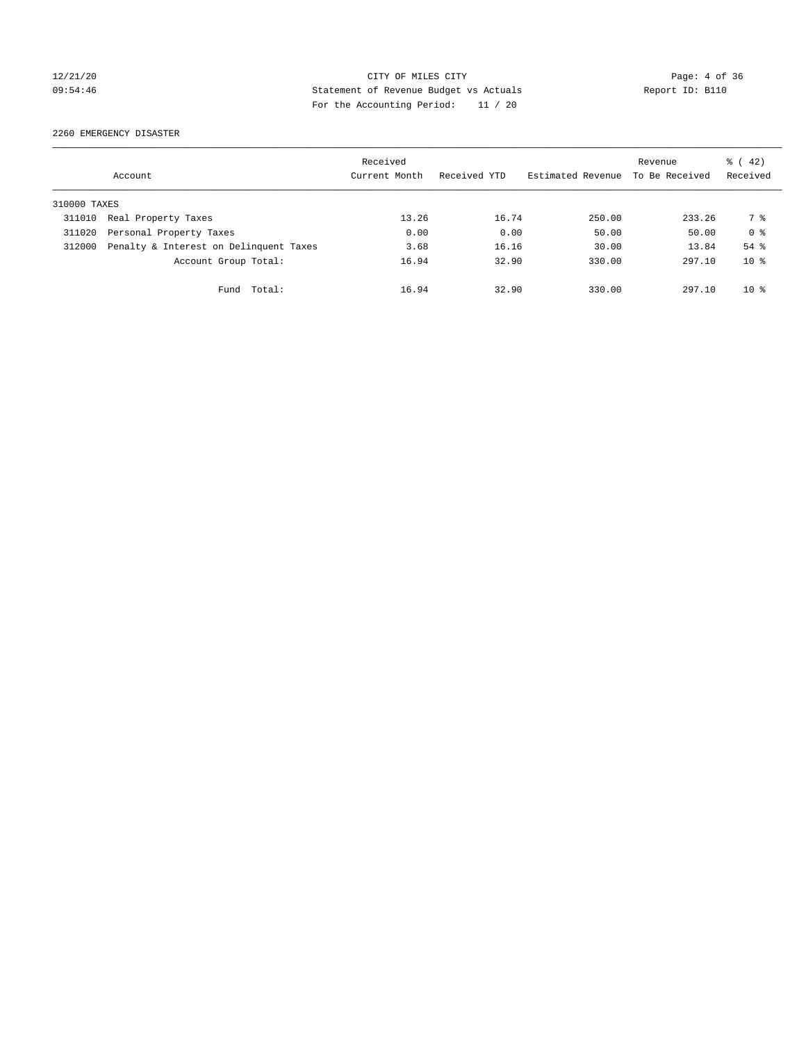## 12/21/20 CITY OF MILES CITY Page: 4 of 36 09:54:46 Statement of Revenue Budget vs Actuals Report ID: B110 For the Accounting Period: 11 / 20

2260 EMERGENCY DISASTER

|              | Account                                | Received<br>Current Month | Received YTD | Estimated Revenue | Revenue<br>To Be Received | $\frac{1}{6}$ ( 42)<br>Received |
|--------------|----------------------------------------|---------------------------|--------------|-------------------|---------------------------|---------------------------------|
| 310000 TAXES |                                        |                           |              |                   |                           |                                 |
| 311010       | Real Property Taxes                    | 13.26                     | 16.74        | 250.00            | 233.26                    | 7 %                             |
| 311020       | Personal Property Taxes                | 0.00                      | 0.00         | 50.00             | 50.00                     | 0 <sup>8</sup>                  |
| 312000       | Penalty & Interest on Delinquent Taxes | 3.68                      | 16.16        | 30.00             | 13.84                     | 54 %                            |
|              | Account Group Total:                   | 16.94                     | 32.90        | 330.00            | 297.10                    | $10*$                           |
|              | Total:<br>Fund                         | 16.94                     | 32.90        | 330.00            | 297.10                    | $10*$                           |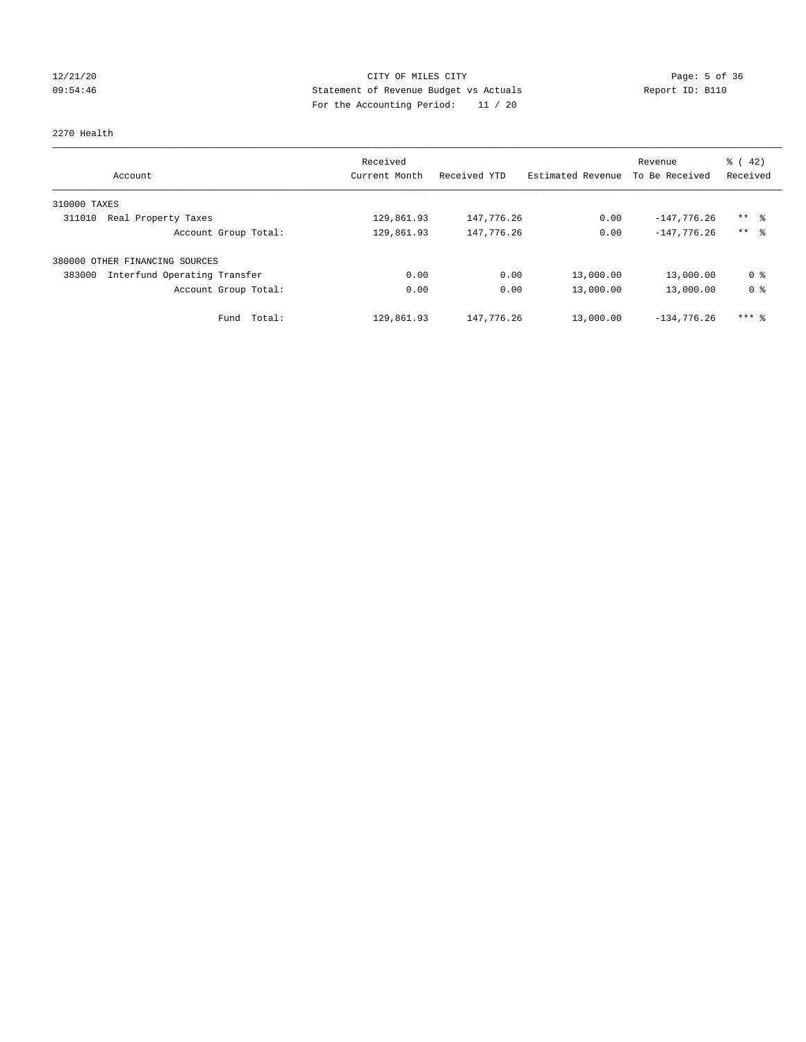## 12/21/20 CITY OF MILES CITY Page: 5 of 36 09:54:46 Statement of Revenue Budget vs Actuals Report ID: B110 For the Accounting Period: 11 / 20

### 2270 Health

| Account                                | Received<br>Current Month | Received YTD | Estimated Revenue | Revenue<br>To Be Received | $\frac{1}{6}$ ( 42)<br>Received |
|----------------------------------------|---------------------------|--------------|-------------------|---------------------------|---------------------------------|
| 310000 TAXES                           |                           |              |                   |                           |                                 |
| 311010<br>Real Property Taxes          | 129,861.93                | 147,776.26   | 0.00              | $-147,776.26$             | $***$ $\frac{6}{3}$             |
| Account Group Total:                   | 129,861.93                | 147,776.26   | 0.00              | $-147.776.26$             | $***$ $\approx$                 |
| 380000 OTHER FINANCING SOURCES         |                           |              |                   |                           |                                 |
| Interfund Operating Transfer<br>383000 | 0.00                      | 0.00         | 13,000.00         | 13,000.00                 | 0 %                             |
| Account Group Total:                   | 0.00                      | 0.00         | 13,000.00         | 13,000.00                 | 0 <sup>8</sup>                  |
| Total:<br>Fund                         | 129,861.93                | 147,776.26   | 13,000.00         | $-134.776.26$             | $***$ $%$                       |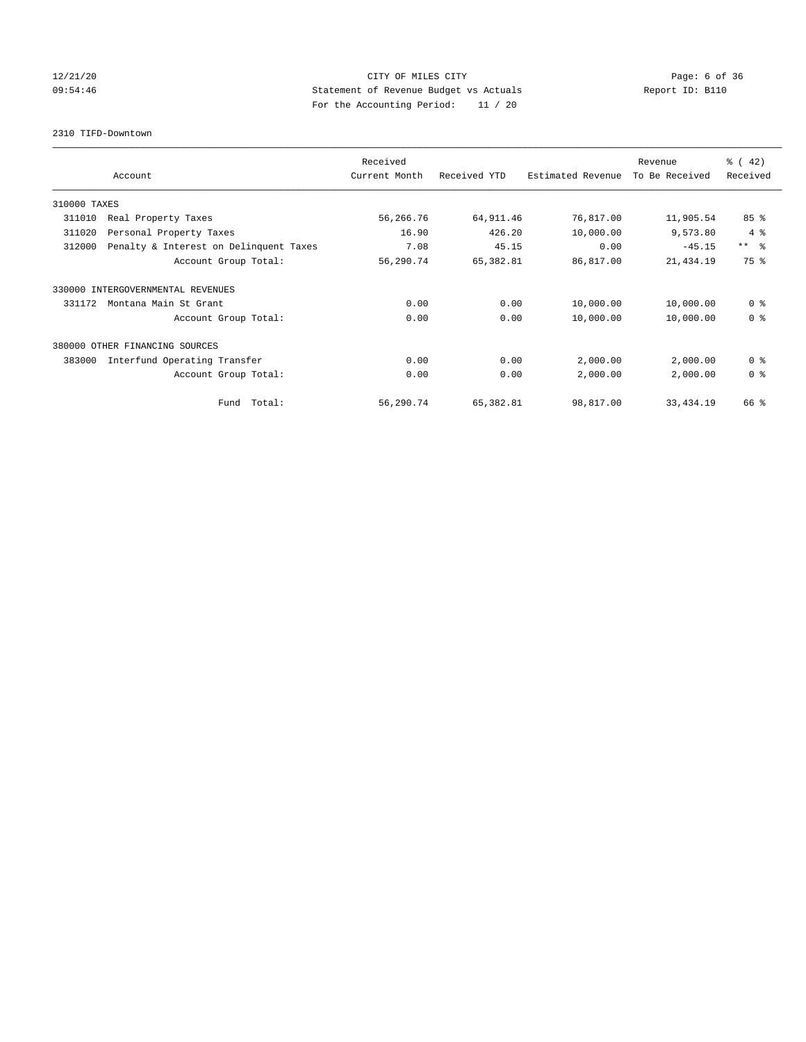## 12/21/20 CITY OF MILES CITY Page: 6 of 36 09:54:46 Statement of Revenue Budget vs Actuals Report ID: B110 For the Accounting Period: 11 / 20

2310 TIFD-Downtown

|              |                                        | Received      |              |                   | Revenue        | $\frac{3}{6}$ ( 42) |
|--------------|----------------------------------------|---------------|--------------|-------------------|----------------|---------------------|
|              | Account                                | Current Month | Received YTD | Estimated Revenue | To Be Received | Received            |
| 310000 TAXES |                                        |               |              |                   |                |                     |
| 311010       | Real Property Taxes                    | 56,266.76     | 64, 911.46   | 76,817.00         | 11,905.54      | 85%                 |
| 311020       | Personal Property Taxes                | 16.90         | 426.20       | 10,000.00         | 9,573.80       | 4%                  |
| 312000       | Penalty & Interest on Delinquent Taxes | 7.08          | 45.15        | 0.00              | $-45.15$       | $***$ $ -$          |
|              | Account Group Total:                   | 56,290.74     | 65,382.81    | 86,817.00         | 21,434.19      | 75%                 |
| 330000       | INTERGOVERNMENTAL REVENUES             |               |              |                   |                |                     |
| 331172       | Montana Main St Grant                  | 0.00          | 0.00         | 10,000.00         | 10,000.00      | 0 <sup>8</sup>      |
|              | Account Group Total:                   | 0.00          | 0.00         | 10,000.00         | 10,000.00      | 0 <sup>8</sup>      |
|              | 380000 OTHER FINANCING SOURCES         |               |              |                   |                |                     |
| 383000       | Interfund Operating Transfer           | 0.00          | 0.00         | 2,000.00          | 2,000.00       | 0 <sup>8</sup>      |
|              | Account Group Total:                   | 0.00          | 0.00         | 2,000.00          | 2,000.00       | 0 <sup>8</sup>      |
|              | Fund Total:                            | 56,290.74     | 65,382.81    | 98,817.00         | 33, 434.19     | 66 %                |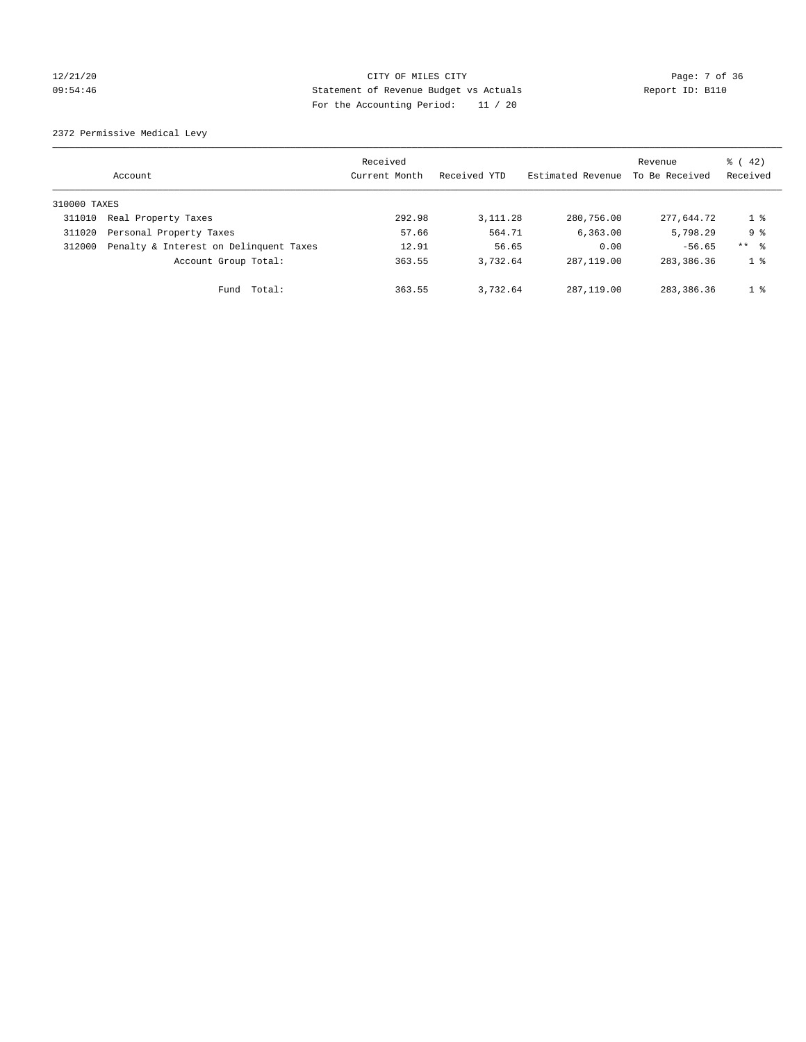## 12/21/20 CITY OF MILES CITY Page: 7 of 36 09:54:46 Statement of Revenue Budget vs Actuals Report ID: B110 For the Accounting Period: 11 / 20

2372 Permissive Medical Levy

|              | Account                                | Received<br>Current Month | Received YTD | Estimated Revenue | Revenue<br>To Be Received | $\frac{1}{6}$ ( 42)<br>Received |
|--------------|----------------------------------------|---------------------------|--------------|-------------------|---------------------------|---------------------------------|
| 310000 TAXES |                                        |                           |              |                   |                           |                                 |
| 311010       | Real Property Taxes                    | 292.98                    | 3, 111. 28   | 280,756.00        | 277.644.72                | $1 \circ$                       |
| 311020       | Personal Property Taxes                | 57.66                     | 564.71       | 6, 363.00         | 5,798.29                  | 9 <sub>8</sub>                  |
| 312000       | Penalty & Interest on Delinquent Taxes | 12.91                     | 56.65        | 0.00              | $-56.65$                  | $***$ $\frac{6}{5}$             |
|              | Account Group Total:                   | 363.55                    | 3,732.64     | 287, 119, 00      | 283, 386.36               | 1 %                             |
|              | Total:<br>Fund                         | 363.55                    | 3,732.64     | 287, 119, 00      | 283, 386, 36              | 1 <sup>8</sup>                  |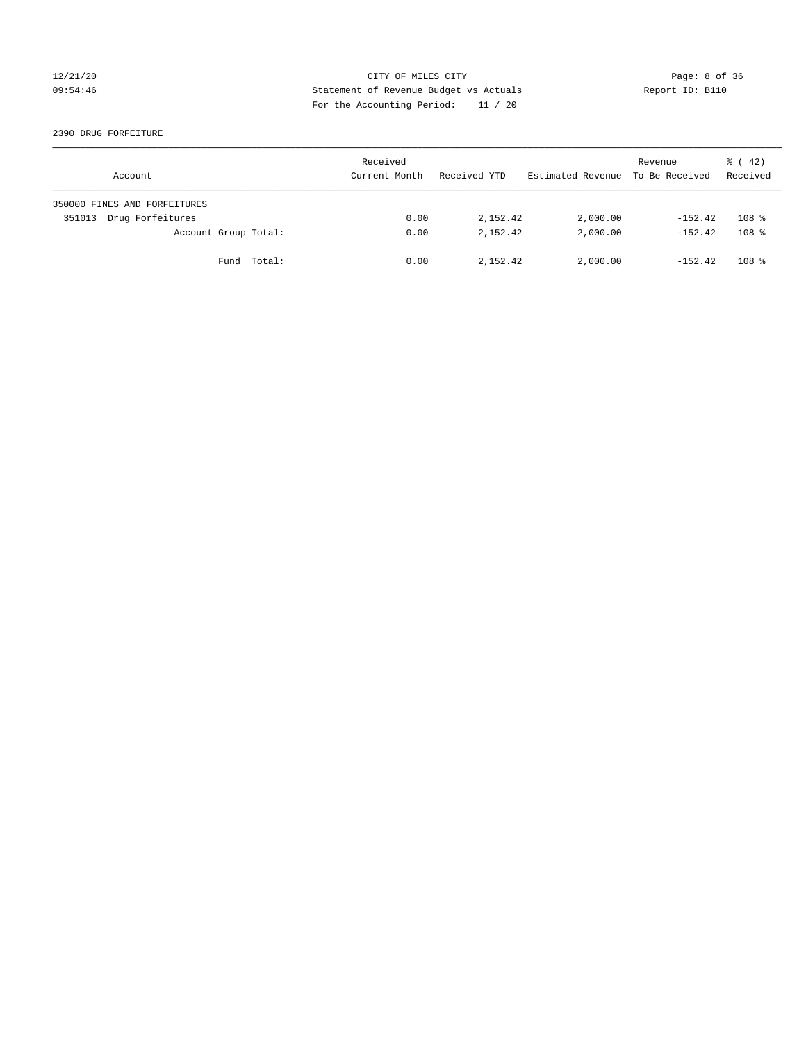## 12/21/20 CITY OF MILES CITY Page: 8 of 36 09:54:46 Statement of Revenue Budget vs Actuals Report ID: B110 For the Accounting Period: 11 / 20

2390 DRUG FORFEITURE

| Account                      | Received<br>Current Month | Received YTD | Estimated Revenue | Revenue<br>To Be Received | $\frac{1}{6}$ ( 42)<br>Received |
|------------------------------|---------------------------|--------------|-------------------|---------------------------|---------------------------------|
| 350000 FINES AND FORFEITURES |                           |              |                   |                           |                                 |
| Drug Forfeitures<br>351013   | 0.00                      | 2,152.42     | 2,000.00          | $-152.42$                 | 108 <sup>8</sup>                |
| Account Group Total:         | 0.00                      | 2,152.42     | 2,000.00          | $-152.42$                 | 108 <sup>8</sup>                |
| Fund Total:                  | 0.00                      | 2,152.42     | 2,000.00          | $-152.42$                 | 108 <sup>8</sup>                |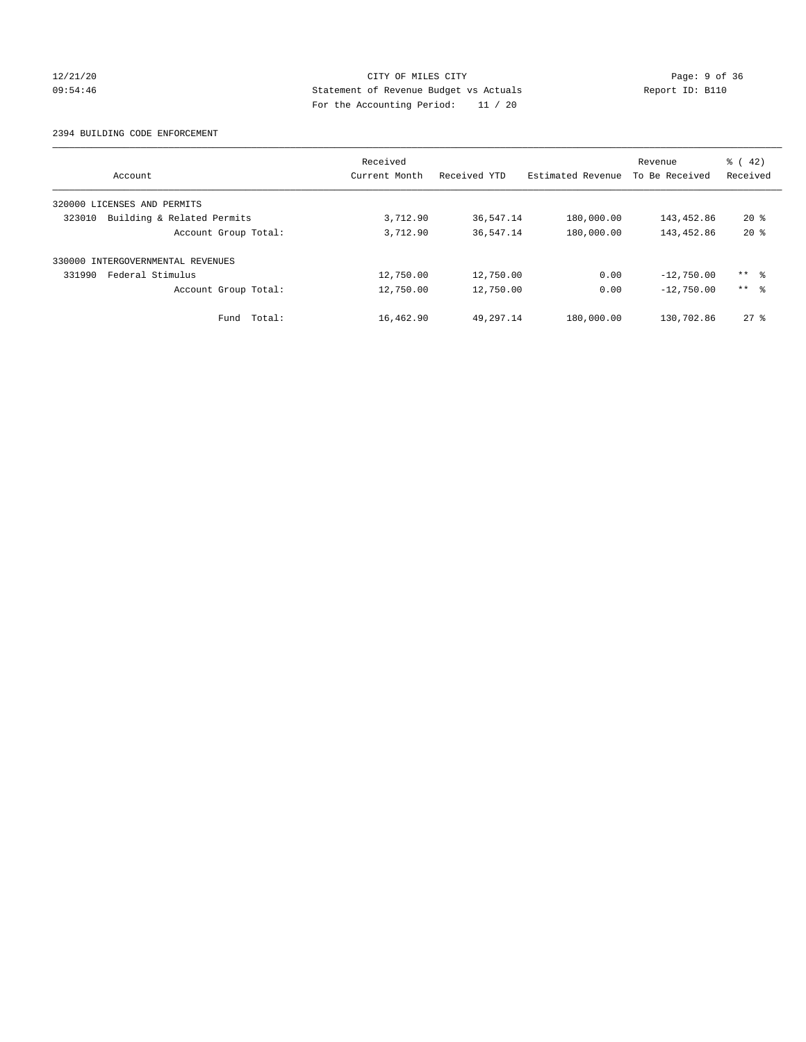## 12/21/20 CITY OF MILES CITY Page: 9 of 36 09:54:46 Statement of Revenue Budget vs Actuals Report ID: B110 For the Accounting Period: 11 / 20

### 2394 BUILDING CODE ENFORCEMENT

| Account                              | Received<br>Current Month | Received YTD | Estimated Revenue | Revenue<br>To Be Received | $\frac{1}{6}$ ( 42)<br>Received |
|--------------------------------------|---------------------------|--------------|-------------------|---------------------------|---------------------------------|
| 320000 LICENSES AND PERMITS          |                           |              |                   |                           |                                 |
| 323010<br>Building & Related Permits | 3,712.90                  | 36,547.14    | 180,000.00        | 143,452.86                | $20*$                           |
| Account Group Total:                 | 3,712.90                  | 36,547.14    | 180,000.00        | 143,452.86                | $20*$                           |
| 330000 INTERGOVERNMENTAL REVENUES    |                           |              |                   |                           |                                 |
| Federal Stimulus<br>331990           | 12,750.00                 | 12,750.00    | 0.00              | $-12,750.00$              | $***$ $\frac{6}{5}$             |
| Account Group Total:                 | 12,750.00                 | 12,750.00    | 0.00              | $-12,750.00$              | $***$ $ -$                      |
| Total:<br>Fund                       | 16,462.90                 | 49,297.14    | 180,000.00        | 130,702.86                | $27$ $\frac{6}{3}$              |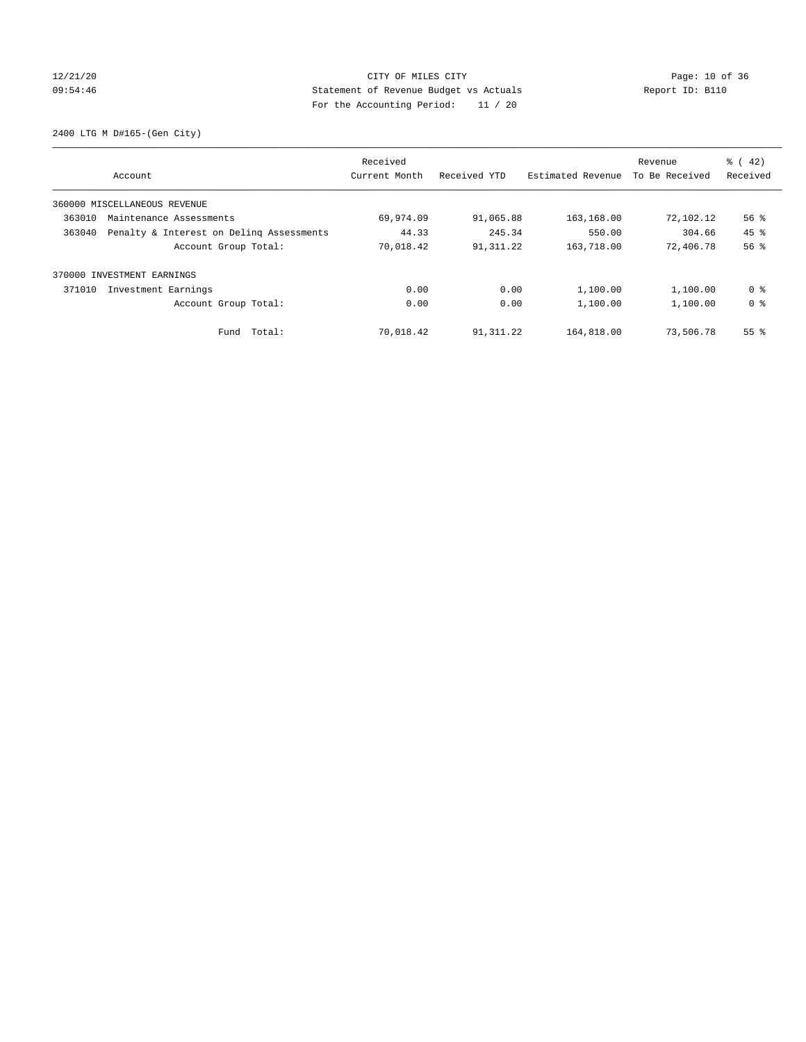## 12/21/20 Page: 10 of 36 09:54:46 Statement of Revenue Budget vs Actuals Report ID: B110 For the Accounting Period: 11 / 20

2400 LTG M D#165-(Gen City)

|                                                    | Received      |              |                   | Revenue        | $\frac{6}{6}$ ( 42) |
|----------------------------------------------------|---------------|--------------|-------------------|----------------|---------------------|
| Account                                            | Current Month | Received YTD | Estimated Revenue | To Be Received | Received            |
| 360000 MISCELLANEOUS REVENUE                       |               |              |                   |                |                     |
| 363010<br>Maintenance Assessments                  | 69,974.09     | 91,065.88    | 163,168.00        | 72,102.12      | $56$ $\frac{6}{3}$  |
| 363040<br>Penalty & Interest on Deling Assessments | 44.33         | 245.34       | 550.00            | 304.66         | 45 %                |
| Account Group Total:                               | 70,018.42     | 91, 311.22   | 163,718.00        | 72,406.78      | 56%                 |
| 370000 INVESTMENT EARNINGS                         |               |              |                   |                |                     |
| 371010<br>Investment Earnings                      | 0.00          | 0.00         | 1,100.00          | 1,100.00       | 0 %                 |
| Account Group Total:                               | 0.00          | 0.00         | 1,100.00          | 1,100.00       | 0 <sup>8</sup>      |
| Total:<br>Fund                                     | 70,018.42     | 91,311.22    | 164,818.00        | 73,506.78      | 55 <sup>8</sup>     |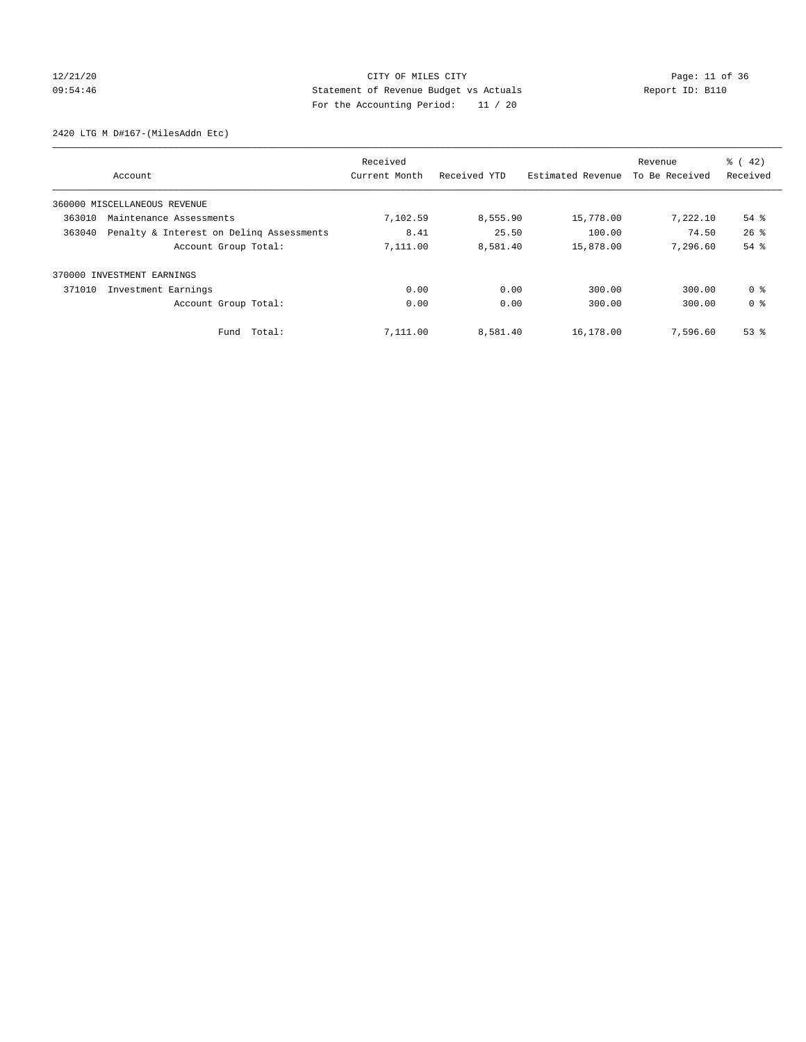## 12/21/20 Page: 11 of 36 09:54:46 Statement of Revenue Budget vs Actuals Report ID: B110 For the Accounting Period: 11 / 20

2420 LTG M D#167-(MilesAddn Etc)

| Account                                            | Received<br>Current Month | Received YTD | Estimated Revenue | Revenue<br>To Be Received | $\frac{1}{6}$ ( 42)<br>Received |
|----------------------------------------------------|---------------------------|--------------|-------------------|---------------------------|---------------------------------|
|                                                    |                           |              |                   |                           |                                 |
| 360000 MISCELLANEOUS REVENUE                       |                           |              |                   |                           |                                 |
| 363010<br>Maintenance Assessments                  | 7,102.59                  | 8,555.90     | 15,778.00         | 7,222.10                  | $54$ $%$                        |
| Penalty & Interest on Deling Assessments<br>363040 | 8.41                      | 25.50        | 100.00            | 74.50                     | $26$ $\frac{6}{3}$              |
| Account Group Total:                               | 7,111.00                  | 8,581.40     | 15,878.00         | 7.296.60                  | 54 %                            |
| INVESTMENT EARNINGS<br>370000                      |                           |              |                   |                           |                                 |
| 371010<br>Investment Earnings                      | 0.00                      | 0.00         | 300.00            | 300.00                    | 0 <sup>8</sup>                  |
| Account Group Total:                               | 0.00                      | 0.00         | 300.00            | 300.00                    | 0 <sup>8</sup>                  |
| Fund Total:                                        | 7,111.00                  | 8,581.40     | 16,178.00         | 7,596.60                  | $53$ $%$                        |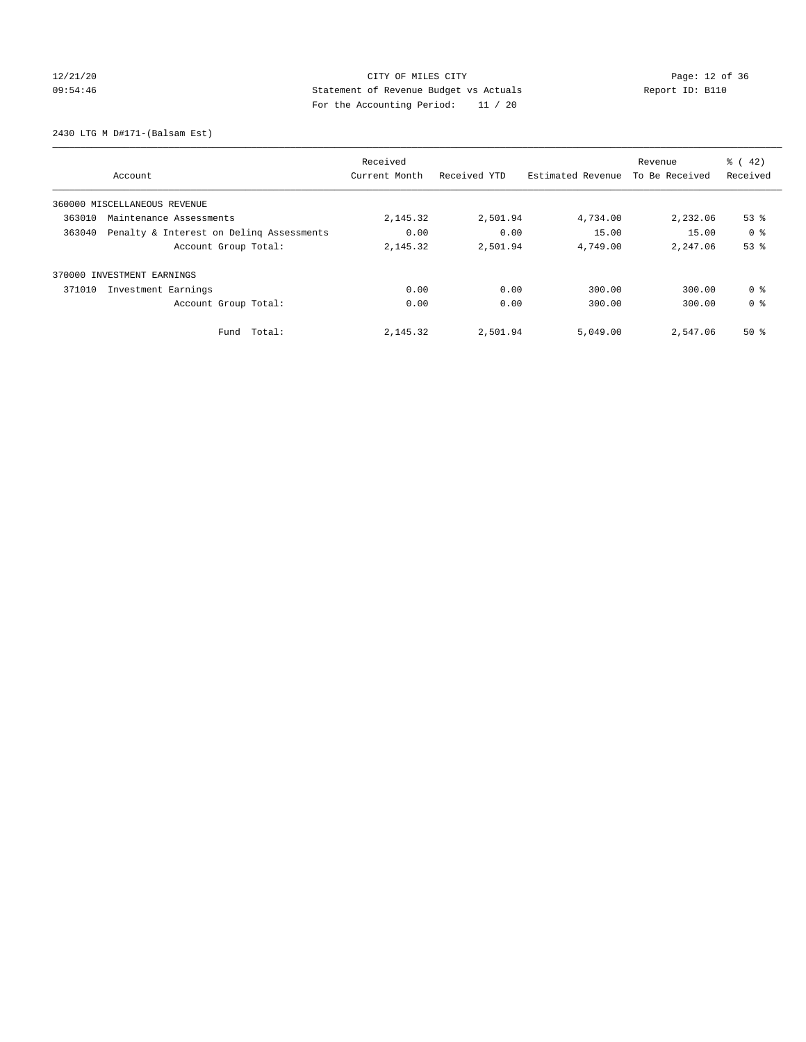# 12/21/20 Page: 12 of 36 09:54:46 Statement of Revenue Budget vs Actuals Report ID: B110 For the Accounting Period: 11 / 20

2430 LTG M D#171-(Balsam Est)

|                                                    | Received      |              |                   | Revenue        | $\frac{6}{6}$ ( 42) |
|----------------------------------------------------|---------------|--------------|-------------------|----------------|---------------------|
| Account                                            | Current Month | Received YTD | Estimated Revenue | To Be Received | Received            |
| 360000 MISCELLANEOUS REVENUE                       |               |              |                   |                |                     |
| 363010<br>Maintenance Assessments                  | 2,145.32      | 2,501.94     | 4,734.00          | 2,232.06       | $53$ $%$            |
| 363040<br>Penalty & Interest on Deling Assessments | 0.00          | 0.00         | 15.00             | 15.00          | 0 <sup>8</sup>      |
| Account Group Total:                               | 2,145.32      | 2,501.94     | 4,749.00          | 2,247.06       | 53%                 |
| 370000 INVESTMENT EARNINGS                         |               |              |                   |                |                     |
| 371010<br>Investment Earnings                      | 0.00          | 0.00         | 300.00            | 300.00         | 0 <sup>8</sup>      |
| Account Group Total:                               | 0.00          | 0.00         | 300.00            | 300.00         | 0 <sup>8</sup>      |
| Total:<br>Fund                                     | 2,145.32      | 2,501.94     | 5,049.00          | 2,547.06       | $50*$               |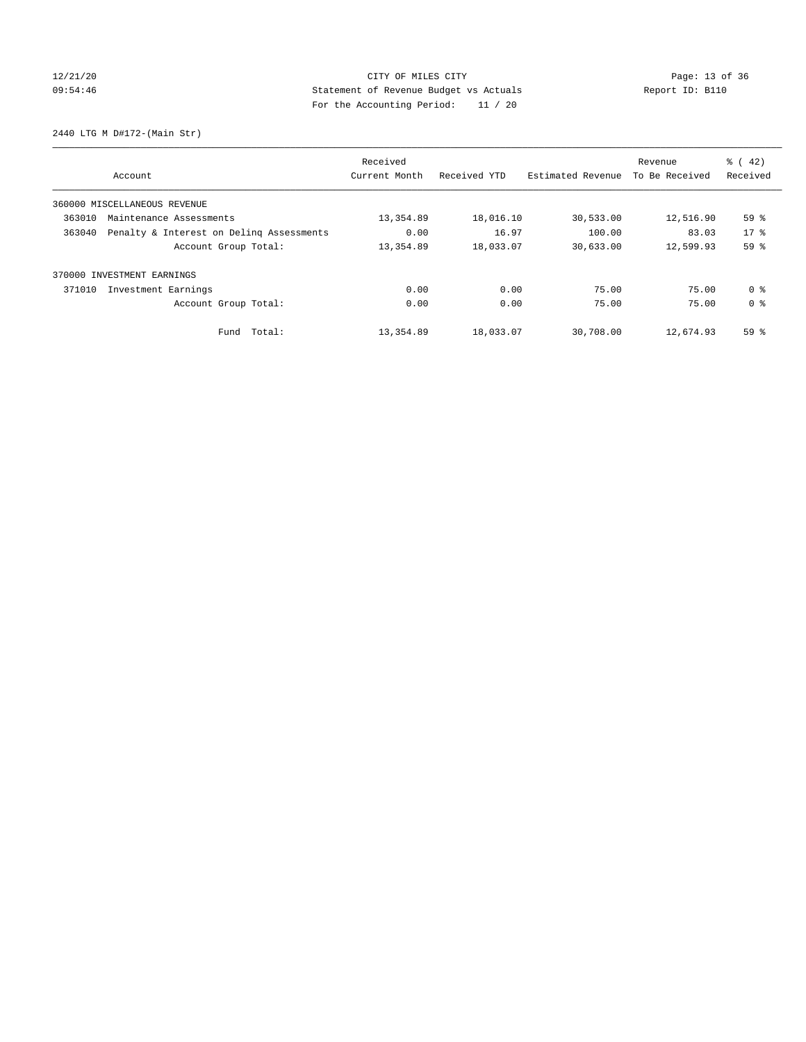# 12/21/20 Page: 13 of 36 09:54:46 Statement of Revenue Budget vs Actuals Report ID: B110 For the Accounting Period: 11 / 20

2440 LTG M D#172-(Main Str)

|        | Account                                  | Received<br>Current Month | Received YTD | Estimated Revenue | Revenue<br>To Be Received | $\frac{1}{6}$ ( 42)<br>Received |
|--------|------------------------------------------|---------------------------|--------------|-------------------|---------------------------|---------------------------------|
|        | 360000 MISCELLANEOUS REVENUE             |                           |              |                   |                           |                                 |
| 363010 | Maintenance Assessments                  | 13,354.89                 | 18,016.10    | 30,533.00         | 12,516.90                 | 59%                             |
| 363040 | Penalty & Interest on Deling Assessments | 0.00                      | 16.97        | 100.00            | 83.03                     | $17*$                           |
|        | Account Group Total:                     | 13,354.89                 | 18,033.07    | 30,633.00         | 12,599.93                 | 59 %                            |
| 370000 | INVESTMENT EARNINGS                      |                           |              |                   |                           |                                 |
| 371010 | Investment Earnings                      | 0.00                      | 0.00         | 75.00             | 75.00                     | 0 <sup>8</sup>                  |
|        | Account Group Total:                     | 0.00                      | 0.00         | 75.00             | 75.00                     | 0 <sup>8</sup>                  |
|        | Fund Total:                              | 13,354.89                 | 18,033.07    | 30,708.00         | 12,674.93                 | 59%                             |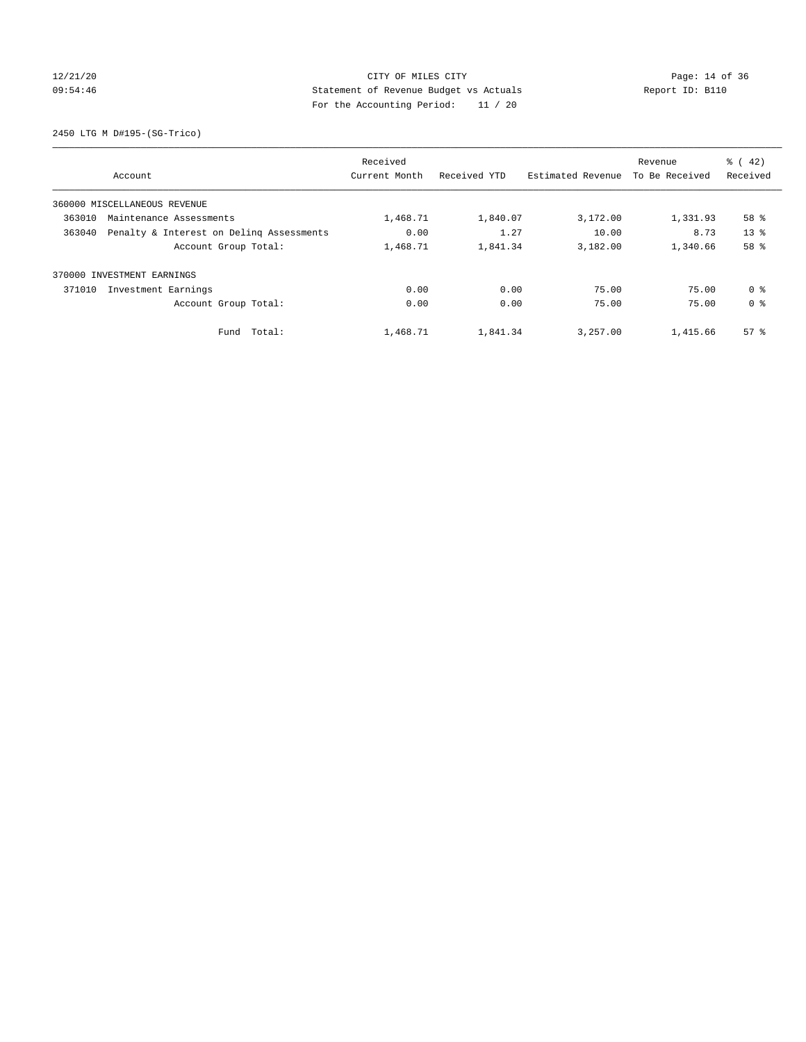# 12/21/20 Page: 14 of 36 09:54:46 Statement of Revenue Budget vs Actuals Report ID: B110 For the Accounting Period: 11 / 20

2450 LTG M D#195-(SG-Trico)

|        | Account                                  | Received<br>Current Month | Received YTD | Estimated Revenue | Revenue<br>To Be Received | $\frac{1}{6}$ ( 42)<br>Received |
|--------|------------------------------------------|---------------------------|--------------|-------------------|---------------------------|---------------------------------|
|        |                                          |                           |              |                   |                           |                                 |
|        | 360000 MISCELLANEOUS REVENUE             |                           |              |                   |                           |                                 |
| 363010 | Maintenance Assessments                  | 1,468.71                  | 1,840.07     | 3,172.00          | 1,331.93                  | 58 %                            |
| 363040 | Penalty & Interest on Deling Assessments | 0.00                      | 1.27         | 10.00             | 8.73                      | 13 <sup>8</sup>                 |
|        | Account Group Total:                     | 1,468.71                  | 1,841.34     | 3,182.00          | 1,340.66                  | 58 %                            |
|        | 370000 INVESTMENT EARNINGS               |                           |              |                   |                           |                                 |
| 371010 | Investment Earnings                      | 0.00                      | 0.00         | 75.00             | 75.00                     | 0 <sup>8</sup>                  |
|        | Account Group Total:                     | 0.00                      | 0.00         | 75.00             | 75.00                     | 0 <sup>8</sup>                  |
|        | Fund Total:                              | 1,468.71                  | 1,841.34     | 3,257.00          | 1,415.66                  | $57*$                           |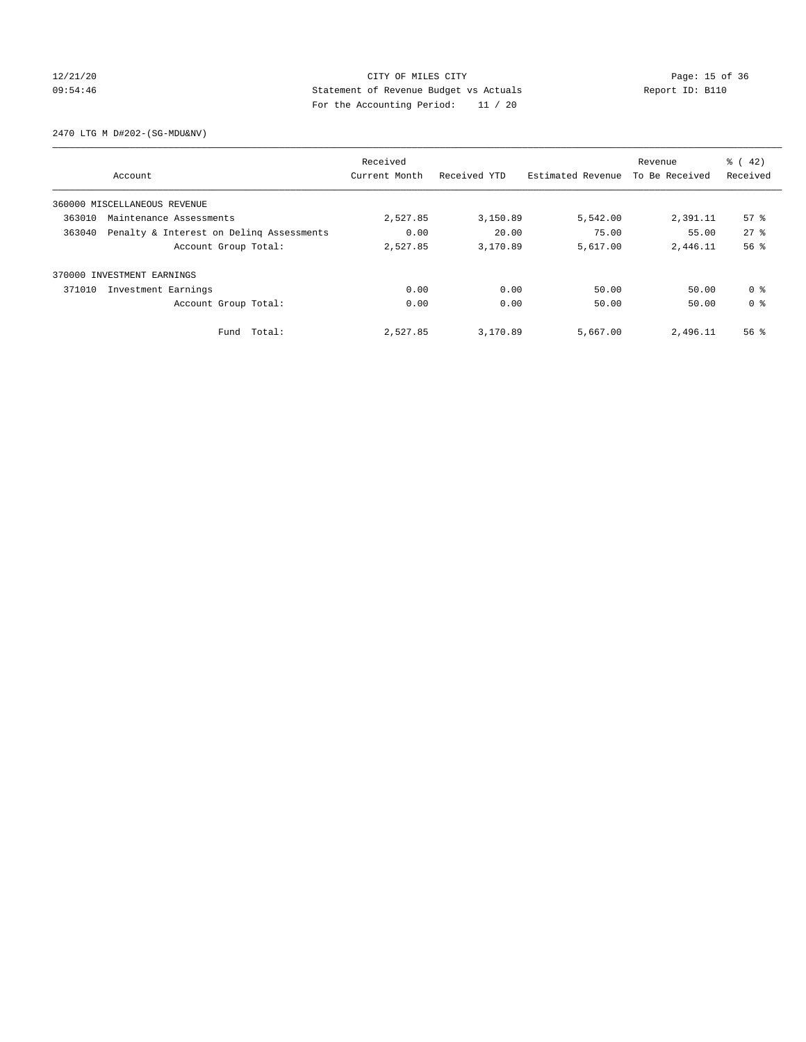## 12/21/20 Page: 15 of 36 09:54:46 Statement of Revenue Budget vs Actuals Report ID: B110 For the Accounting Period: 11 / 20

2470 LTG M D#202-(SG-MDU&NV)

|        | Account                                  | Received<br>Current Month | Received YTD | Estimated Revenue | Revenue<br>To Be Received | $\frac{1}{6}$ ( 42)<br>Received |
|--------|------------------------------------------|---------------------------|--------------|-------------------|---------------------------|---------------------------------|
|        | 360000 MISCELLANEOUS REVENUE             |                           |              |                   |                           |                                 |
| 363010 | Maintenance Assessments                  | 2,527.85                  | 3,150.89     | 5,542.00          | 2,391.11                  | 57%                             |
| 363040 | Penalty & Interest on Deling Assessments | 0.00                      | 20.00        | 75.00             | 55.00                     | $27$ $%$                        |
|        | Account Group Total:                     | 2,527.85                  | 3,170.89     | 5,617.00          | 2,446.11                  | 56%                             |
| 370000 | INVESTMENT EARNINGS                      |                           |              |                   |                           |                                 |
| 371010 | Investment Earnings                      | 0.00                      | 0.00         | 50.00             | 50.00                     | 0 <sup>8</sup>                  |
|        | Account Group Total:                     | 0.00                      | 0.00         | 50.00             | 50.00                     | 0 <sup>8</sup>                  |
|        | Fund Total:                              | 2,527.85                  | 3,170.89     | 5,667.00          | 2,496.11                  | 56 <sup>8</sup>                 |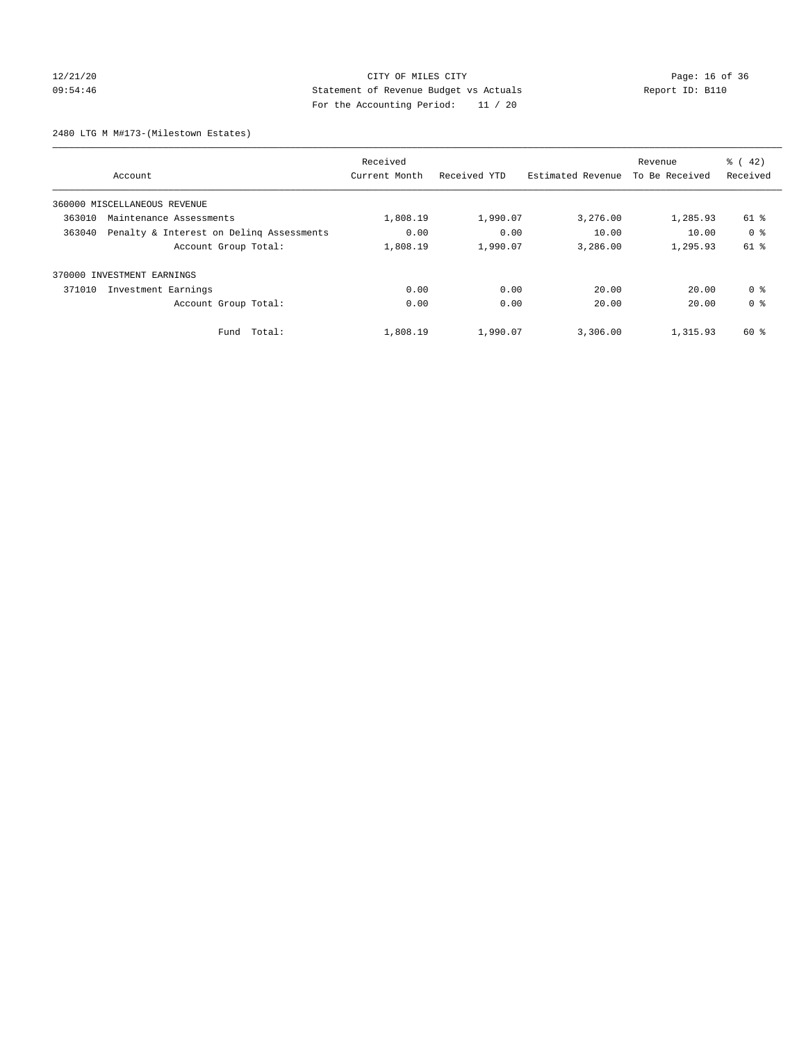## 12/21/20 Page: 16 of 36 CITY OF MILES CITY CHANGES CONTROL PAGE: 16 of 36 09:54:46 Statement of Revenue Budget vs Actuals Report ID: B110 For the Accounting Period: 11 / 20

2480 LTG M M#173-(Milestown Estates)

| Account                                            | Received<br>Current Month | Received YTD | Revenue<br>Estimated Revenue | To Be Received | $\frac{1}{6}$ ( 42)<br>Received |
|----------------------------------------------------|---------------------------|--------------|------------------------------|----------------|---------------------------------|
|                                                    |                           |              |                              |                |                                 |
| 360000 MISCELLANEOUS REVENUE                       |                           |              |                              |                |                                 |
| 363010<br>Maintenance Assessments                  | 1,808.19                  | 1,990.07     | 3,276.00                     | 1,285.93       | 61 %                            |
| Penalty & Interest on Deling Assessments<br>363040 | 0.00                      | 0.00         | 10.00                        | 10.00          | 0 <sup>8</sup>                  |
| Account Group Total:                               | 1,808.19                  | 1,990.07     | 3,286.00                     | 1,295.93       | 61 %                            |
| 370000 INVESTMENT EARNINGS                         |                           |              |                              |                |                                 |
| 371010<br>Investment Earnings                      | 0.00                      | 0.00         | 20.00                        | 20.00          | 0 <sup>8</sup>                  |
| Account Group Total:                               | 0.00                      | 0.00         | 20.00                        | 20.00          | 0 <sup>8</sup>                  |
| Fund Total:                                        | 1,808.19                  | 1,990.07     | 3,306.00                     | 1,315.93       | 60 %                            |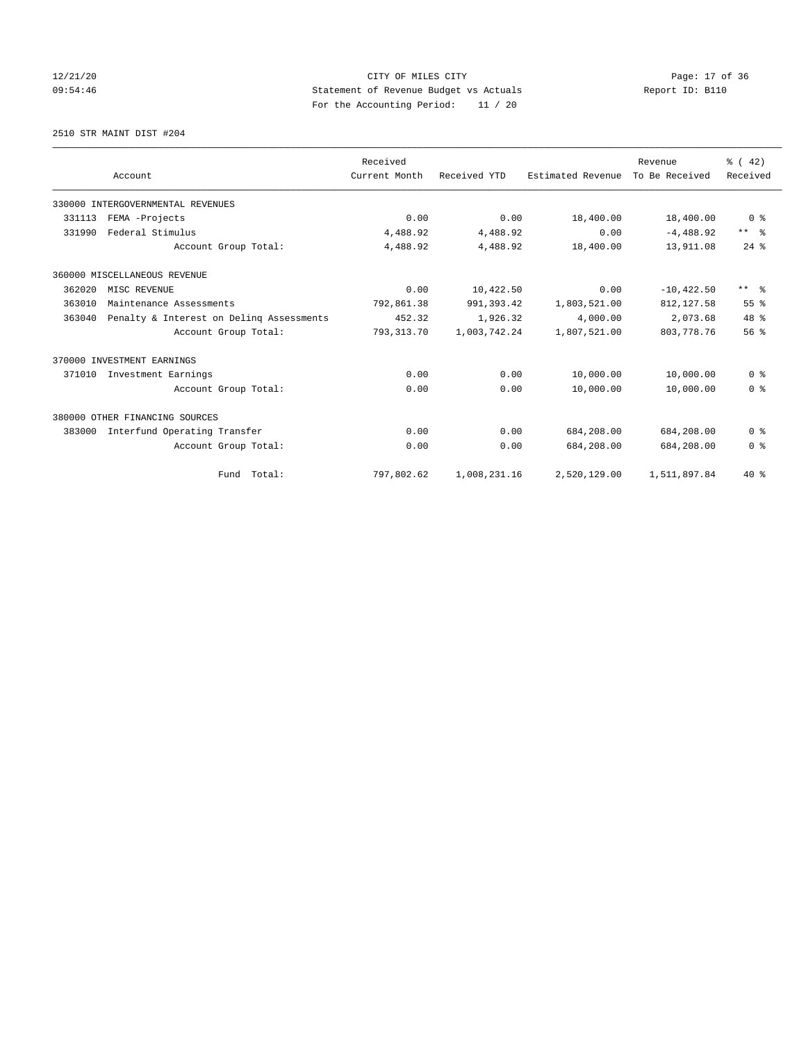## 12/21/20 Page: 17 of 36 09:54:46 Statement of Revenue Budget vs Actuals Report ID: B110 For the Accounting Period: 11 / 20

2510 STR MAINT DIST #204

|        |                                          | Received      |              |                   | Revenue        | $\frac{3}{6}$ ( 42) |
|--------|------------------------------------------|---------------|--------------|-------------------|----------------|---------------------|
|        | Account                                  | Current Month | Received YTD | Estimated Revenue | To Be Received | Received            |
|        | 330000 INTERGOVERNMENTAL REVENUES        |               |              |                   |                |                     |
| 331113 | FEMA -Projects                           | 0.00          | 0.00         | 18,400.00         | 18,400.00      | 0 <sup>8</sup>      |
| 331990 | Federal Stimulus                         | 4,488.92      | 4,488.92     | 0.00              | $-4,488.92$    | $***$ $\approx$     |
|        | Account Group Total:                     | 4,488.92      | 4,488.92     | 18,400.00         | 13,911.08      | $24$ $%$            |
|        | 360000 MISCELLANEOUS REVENUE             |               |              |                   |                |                     |
| 362020 | MISC REVENUE                             | 0.00          | 10,422.50    | 0.00              | $-10.422.50$   | $***$ $\approx$     |
| 363010 | Maintenance Assessments                  | 792,861.38    | 991, 393.42  | 1,803,521.00      | 812, 127.58    | 55 <sup>8</sup>     |
| 363040 | Penalty & Interest on Deling Assessments | 452.32        | 1,926.32     | 4,000.00          | 2,073.68       | 48 %                |
|        | Account Group Total:                     | 793, 313.70   | 1,003,742.24 | 1,807,521.00      | 803, 778. 76   | 56 <sup>8</sup>     |
|        | 370000 INVESTMENT EARNINGS               |               |              |                   |                |                     |
| 371010 | Investment Earnings                      | 0.00          | 0.00         | 10,000.00         | 10,000.00      | 0 <sup>8</sup>      |
|        | Account Group Total:                     | 0.00          | 0.00         | 10,000.00         | 10,000.00      | 0 <sup>8</sup>      |
|        | 380000 OTHER FINANCING SOURCES           |               |              |                   |                |                     |
| 383000 | Interfund Operating Transfer             | 0.00          | 0.00         | 684,208.00        | 684,208.00     | 0 <sup>8</sup>      |
|        | Account Group Total:                     | 0.00          | 0.00         | 684,208.00        | 684,208.00     | 0 <sup>8</sup>      |
|        | Fund Total:                              | 797,802.62    | 1,008,231.16 | 2,520,129.00      | 1,511,897.84   | $40*$               |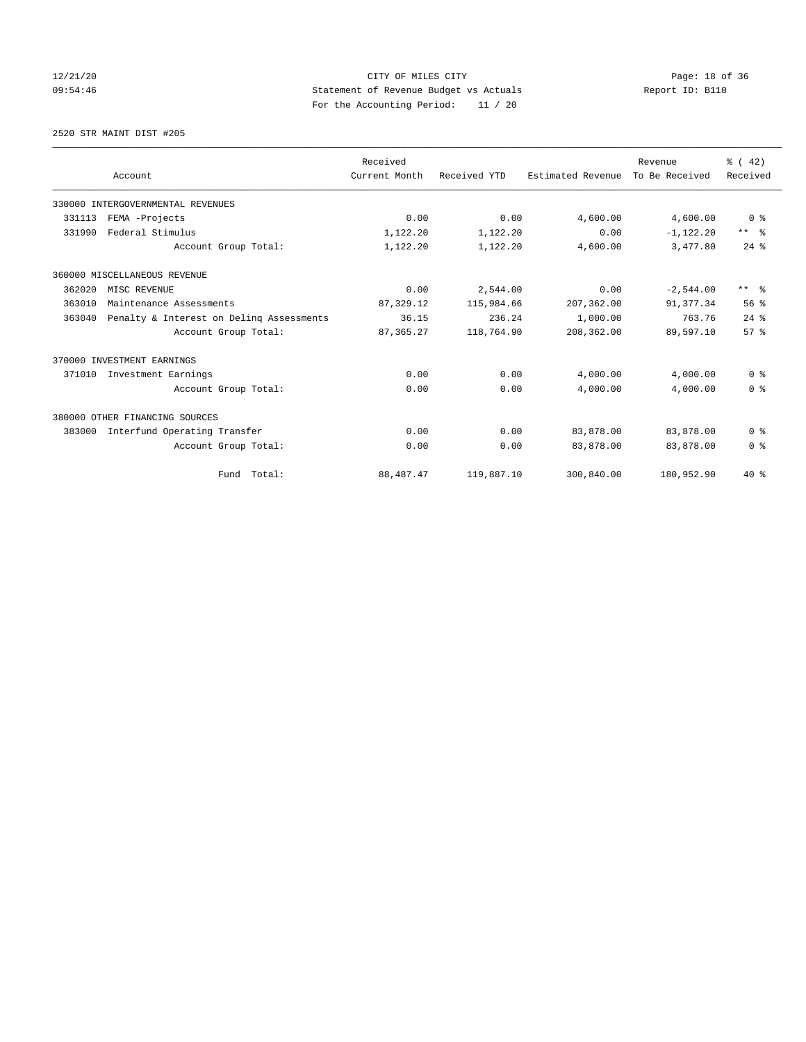## 12/21/20 Page: 18 of 36 09:54:46 Statement of Revenue Budget vs Actuals Report ID: B110 For the Accounting Period: 11 / 20

2520 STR MAINT DIST #205

|        |                                          | Received      |              |                   | Revenue        | $\frac{3}{6}$ ( 42) |
|--------|------------------------------------------|---------------|--------------|-------------------|----------------|---------------------|
|        | Account                                  | Current Month | Received YTD | Estimated Revenue | To Be Received | Received            |
|        | 330000 INTERGOVERNMENTAL REVENUES        |               |              |                   |                |                     |
| 331113 | FEMA -Projects                           | 0.00          | 0.00         | 4,600.00          | 4,600.00       | 0 <sup>8</sup>      |
| 331990 | Federal Stimulus                         | 1,122.20      | 1,122.20     | 0.00              | $-1,122.20$    | $***$ $ -$          |
|        | Account Group Total:                     | 1,122.20      | 1,122.20     | 4,600.00          | 3,477.80       | $24$ $%$            |
|        | 360000 MISCELLANEOUS REVENUE             |               |              |                   |                |                     |
| 362020 | MISC REVENUE                             | 0.00          | 2,544.00     | 0.00              | $-2,544.00$    | $***$ $\approx$     |
| 363010 | Maintenance Assessments                  | 87, 329.12    | 115,984.66   | 207,362.00        | 91,377.34      | 56%                 |
| 363040 | Penalty & Interest on Deling Assessments | 36.15         | 236.24       | 1,000.00          | 763.76         | $24$ $%$            |
|        | Account Group Total:                     | 87, 365.27    | 118,764.90   | 208,362.00        | 89,597.10      | 57%                 |
|        | 370000 INVESTMENT EARNINGS               |               |              |                   |                |                     |
| 371010 | Investment Earnings                      | 0.00          | 0.00         | 4,000.00          | 4,000.00       | 0 <sup>8</sup>      |
|        | Account Group Total:                     | 0.00          | 0.00         | 4,000.00          | 4,000.00       | 0 <sup>8</sup>      |
|        | 380000 OTHER FINANCING SOURCES           |               |              |                   |                |                     |
| 383000 | Interfund Operating Transfer             | 0.00          | 0.00         | 83,878.00         | 83,878.00      | 0 <sup>8</sup>      |
|        | Account Group Total:                     | 0.00          | 0.00         | 83,878.00         | 83,878.00      | 0 <sup>8</sup>      |
|        | Fund Total:                              | 88, 487. 47   | 119,887.10   | 300,840.00        | 180,952.90     | $40*$               |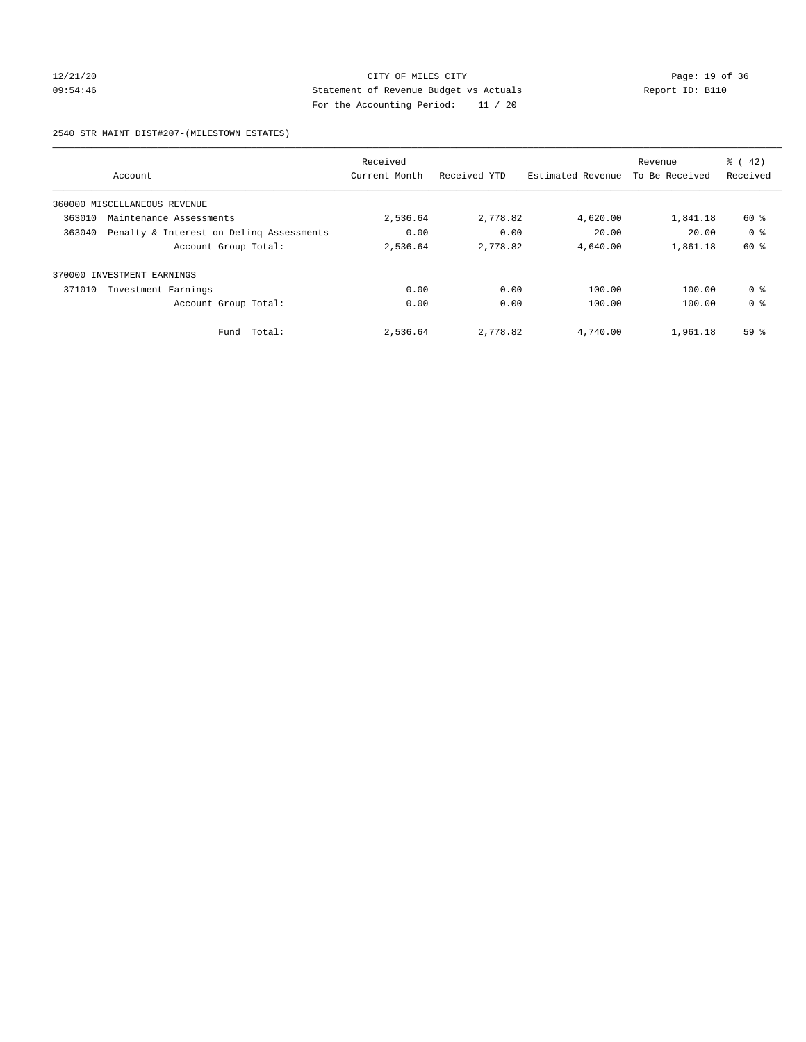# 12/21/20 Page: 19 of 36 CITY OF MILES CITY CHANGES CONTROL PAGE: 19 of 36 09:54:46 Statement of Revenue Budget vs Actuals Report ID: B110 For the Accounting Period: 11 / 20

2540 STR MAINT DIST#207-(MILESTOWN ESTATES)

|        | Account                                  | Received<br>Current Month | Received YTD | Estimated Revenue | Revenue<br>To Be Received | $\frac{1}{6}$ ( 42)<br>Received |
|--------|------------------------------------------|---------------------------|--------------|-------------------|---------------------------|---------------------------------|
|        |                                          |                           |              |                   |                           |                                 |
|        | 360000 MISCELLANEOUS REVENUE             |                           |              |                   |                           |                                 |
| 363010 | Maintenance Assessments                  | 2,536.64                  | 2,778.82     | 4,620.00          | 1,841.18                  | 60 %                            |
| 363040 | Penalty & Interest on Deling Assessments | 0.00                      | 0.00         | 20.00             | 20.00                     | 0 <sup>8</sup>                  |
|        | Account Group Total:                     | 2,536.64                  | 2,778.82     | 4,640.00          | 1,861.18                  | 60 %                            |
|        | 370000 INVESTMENT EARNINGS               |                           |              |                   |                           |                                 |
| 371010 | Investment Earnings                      | 0.00                      | 0.00         | 100.00            | 100.00                    | 0 <sup>8</sup>                  |
|        | Account Group Total:                     | 0.00                      | 0.00         | 100.00            | 100.00                    | 0 <sup>8</sup>                  |
|        | Total:<br>Fund                           | 2,536.64                  | 2,778.82     | 4,740.00          | 1,961.18                  | 59 <sub>8</sub>                 |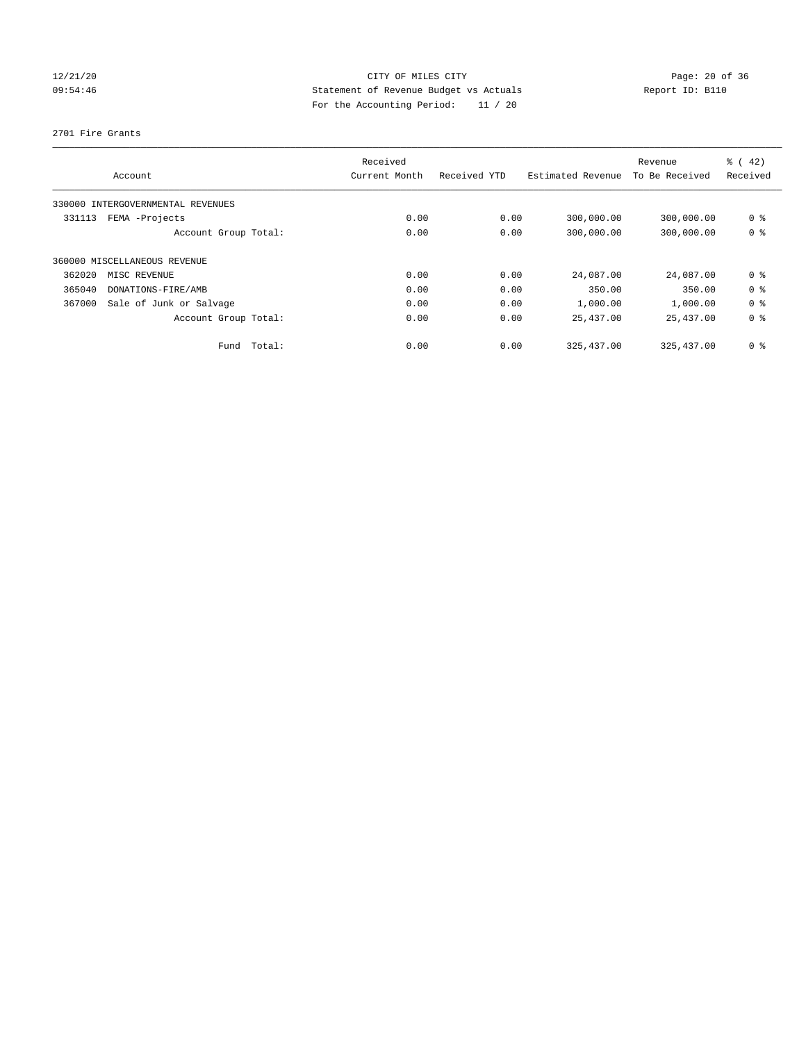## 12/21/20 Page: 20 of 36 09:54:46 Statement of Revenue Budget vs Actuals Report ID: B110 For the Accounting Period: 11 / 20

2701 Fire Grants

|        | Account                           | Received<br>Current Month | Received YTD | Estimated Revenue | Revenue<br>To Be Received | % (42)<br>Received |
|--------|-----------------------------------|---------------------------|--------------|-------------------|---------------------------|--------------------|
|        | 330000 INTERGOVERNMENTAL REVENUES |                           |              |                   |                           |                    |
| 331113 | FEMA -Projects                    | 0.00                      | 0.00         | 300,000.00        | 300,000.00                | 0 <sup>8</sup>     |
|        | Account Group Total:              | 0.00                      | 0.00         | 300,000.00        | 300,000.00                | 0 <sup>8</sup>     |
|        | 360000 MISCELLANEOUS REVENUE      |                           |              |                   |                           |                    |
| 362020 | MISC REVENUE                      | 0.00                      | 0.00         | 24,087.00         | 24,087.00                 | 0 <sup>8</sup>     |
| 365040 | DONATIONS-FIRE/AMB                | 0.00                      | 0.00         | 350.00            | 350.00                    | 0 <sup>8</sup>     |
| 367000 | Sale of Junk or Salvage           | 0.00                      | 0.00         | 1,000.00          | 1,000.00                  | 0 <sup>8</sup>     |
|        | Account Group Total:              | 0.00                      | 0.00         | 25,437.00         | 25,437.00                 | 0 <sup>8</sup>     |
|        | Total:<br>Fund                    | 0.00                      | 0.00         | 325, 437.00       | 325, 437.00               | 0 <sup>8</sup>     |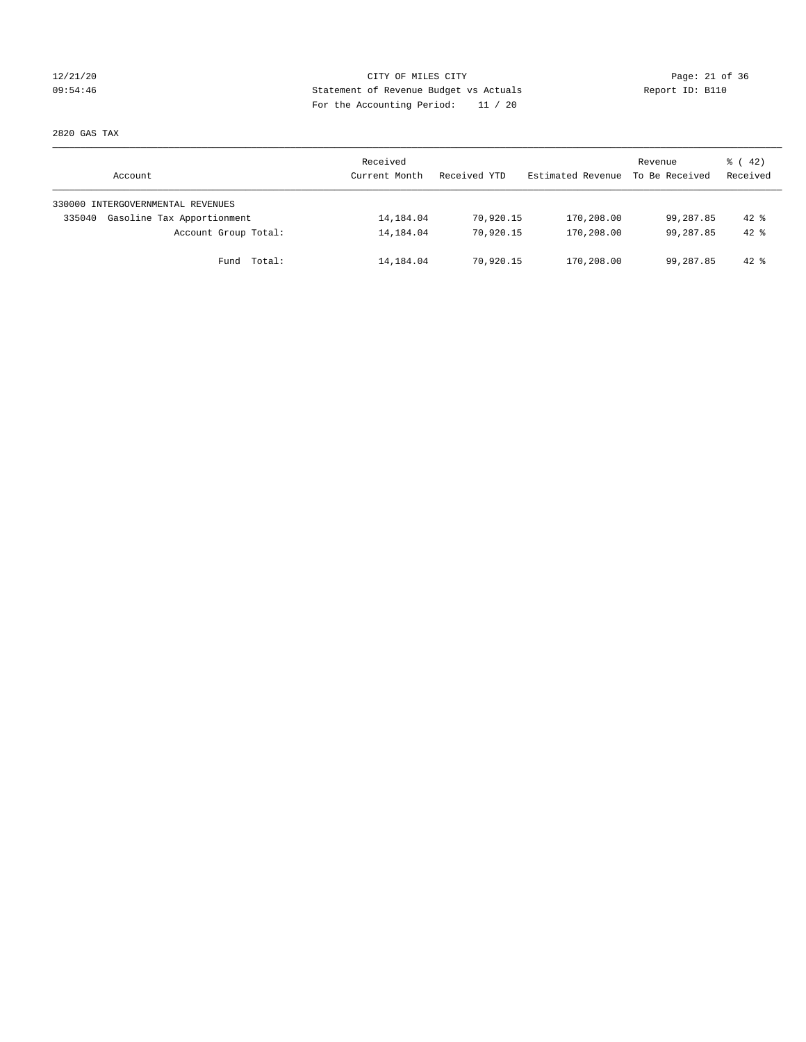## 12/21/20 Page: 21 of 36 CITY OF MILES CITY CHANGES CITY 09:54:46 Statement of Revenue Budget vs Actuals Report ID: B110 For the Accounting Period: 11 / 20

2820 GAS TAX

| Account                              | Received<br>Current Month | Received YTD | Estimated Revenue | Revenue<br>To Be Received | $\frac{1}{6}$ ( 42)<br>Received |
|--------------------------------------|---------------------------|--------------|-------------------|---------------------------|---------------------------------|
| 330000 INTERGOVERNMENTAL REVENUES    |                           |              |                   |                           |                                 |
| Gasoline Tax Apportionment<br>335040 | 14,184.04                 | 70,920.15    | 170,208.00        | 99,287.85                 | $42*$                           |
| Account Group Total:                 | 14,184.04                 | 70,920.15    | 170,208.00        | 99,287.85                 | $42*$                           |
| Fund Total:                          | 14,184.04                 | 70,920.15    | 170,208.00        | 99,287.85                 | $42*$                           |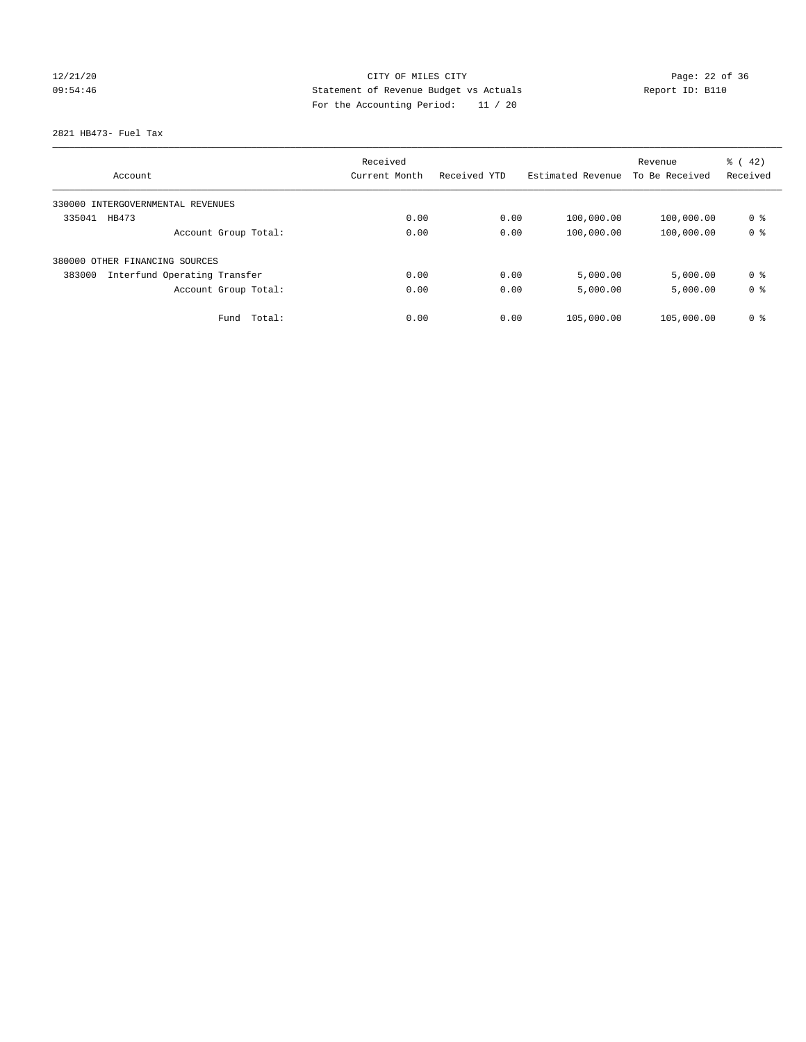## 12/21/20 Page: 22 of 36 09:54:46 Statement of Revenue Budget vs Actuals Report ID: B110 For the Accounting Period: 11 / 20

### 2821 HB473- Fuel Tax

|                                        | Received      |              |                   |                | $\frac{1}{6}$ (42) |
|----------------------------------------|---------------|--------------|-------------------|----------------|--------------------|
| Account                                | Current Month | Received YTD | Estimated Revenue | To Be Received | Received           |
| 330000 INTERGOVERNMENTAL REVENUES      |               |              |                   |                |                    |
| 335041<br>HB473                        | 0.00          | 0.00         | 100,000.00        | 100,000.00     | 0 %                |
| Account Group Total:                   | 0.00          | 0.00         | 100,000.00        | 100,000.00     | 0 <sup>8</sup>     |
| OTHER FINANCING SOURCES<br>380000      |               |              |                   |                |                    |
| Interfund Operating Transfer<br>383000 | 0.00          | 0.00         | 5,000.00          | 5,000.00       | 0 <sup>8</sup>     |
| Account Group Total:                   | 0.00          | 0.00         | 5,000.00          | 5,000.00       | 0 <sup>8</sup>     |
| Fund Total:                            | 0.00          | 0.00         | 105,000.00        | 105,000.00     | 0 %                |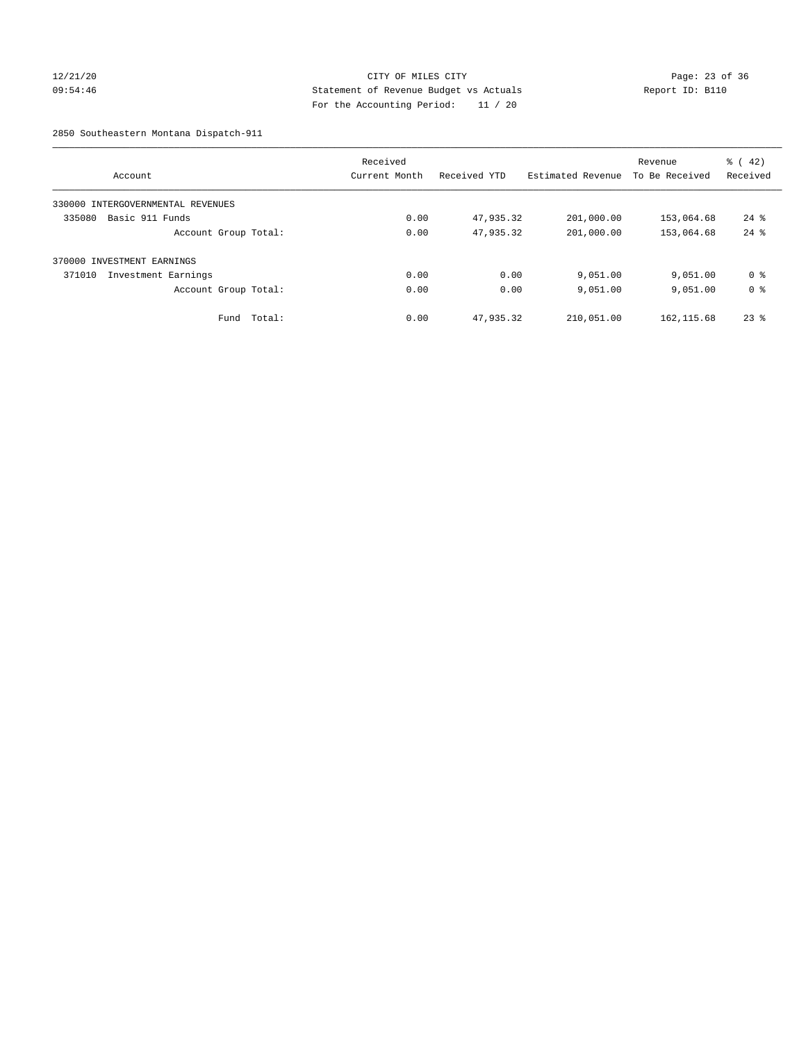## 12/21/20 Page: 23 of 36 09:54:46 Statement of Revenue Budget vs Actuals Report ID: B110 For the Accounting Period: 11 / 20

2850 Southeastern Montana Dispatch-911

|                                   | Received      |              |                   | Revenue        | $\frac{1}{6}$ ( 42) |
|-----------------------------------|---------------|--------------|-------------------|----------------|---------------------|
| Account                           | Current Month | Received YTD | Estimated Revenue | To Be Received | Received            |
| 330000 INTERGOVERNMENTAL REVENUES |               |              |                   |                |                     |
| Basic 911 Funds<br>335080         | 0.00          | 47,935.32    | 201,000.00        | 153,064.68     | $24$ %              |
| Account Group Total:              | 0.00          | 47,935.32    | 201,000.00        | 153,064.68     | $24$ $%$            |
| 370000 INVESTMENT EARNINGS        |               |              |                   |                |                     |
| 371010<br>Investment Earnings     | 0.00          | 0.00         | 9,051.00          | 9,051.00       | 0 <sup>8</sup>      |
| Account Group Total:              | 0.00          | 0.00         | 9,051.00          | 9,051.00       | 0 <sup>8</sup>      |
| Total:<br>Fund                    | 0.00          | 47,935.32    | 210,051.00        | 162, 115.68    | $23*$               |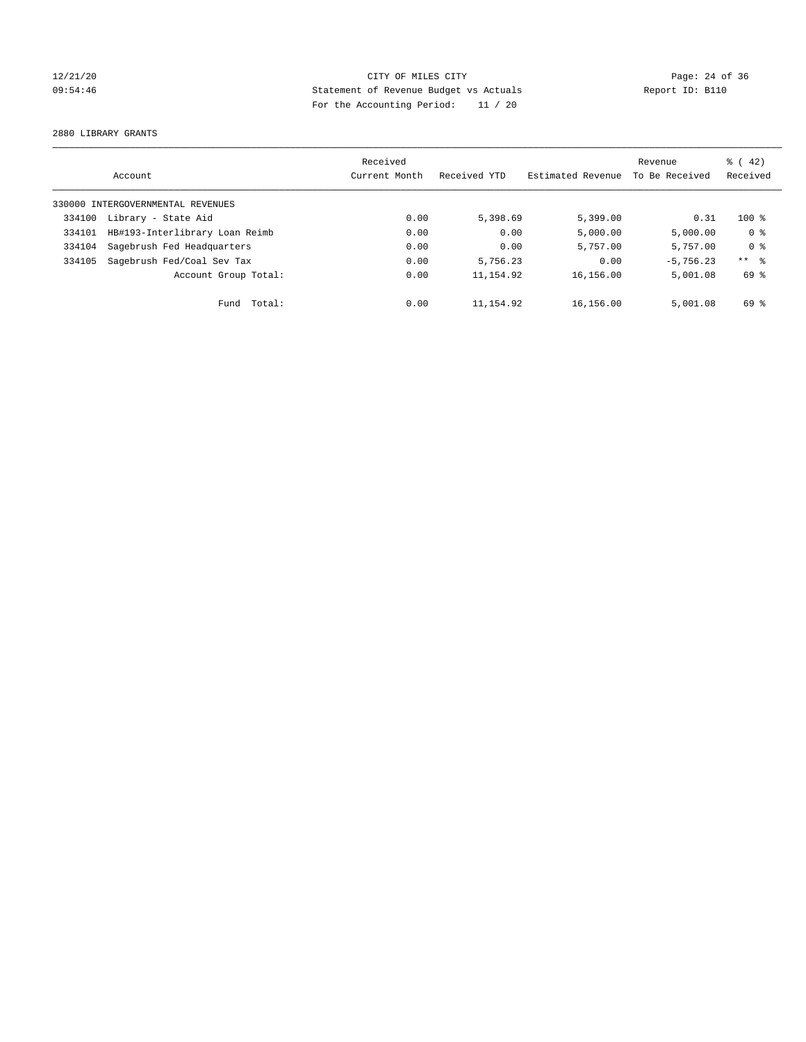## 12/21/20 Page: 24 of 36 09:54:46 Statement of Revenue Budget vs Actuals Report ID: B110 For the Accounting Period: 11 / 20

2880 LIBRARY GRANTS

|        |                                   | Received      |              |                   |                | $\frac{1}{6}$ ( 42) |
|--------|-----------------------------------|---------------|--------------|-------------------|----------------|---------------------|
|        | Account                           | Current Month | Received YTD | Estimated Revenue | To Be Received | Received            |
|        | 330000 INTERGOVERNMENTAL REVENUES |               |              |                   |                |                     |
| 334100 | Library - State Aid               | 0.00          | 5,398.69     | 5,399.00          | 0.31           | $100*$              |
| 334101 | HB#193-Interlibrary Loan Reimb    | 0.00          | 0.00         | 5,000.00          | 5,000.00       | 0 <sup>8</sup>      |
| 334104 | Sagebrush Fed Headquarters        | 0.00          | 0.00         | 5,757.00          | 5,757.00       | 0 <sup>8</sup>      |
| 334105 | Sagebrush Fed/Coal Sev Tax        | 0.00          | 5,756.23     | 0.00              | $-5.756.23$    | $***$ 8             |
|        | Account Group Total:              | 0.00          | 11, 154.92   | 16,156.00         | 5,001.08       | 69 %                |
|        | Total:<br>Fund                    | 0.00          | 11,154.92    | 16,156.00         | 5,001.08       | 69 %                |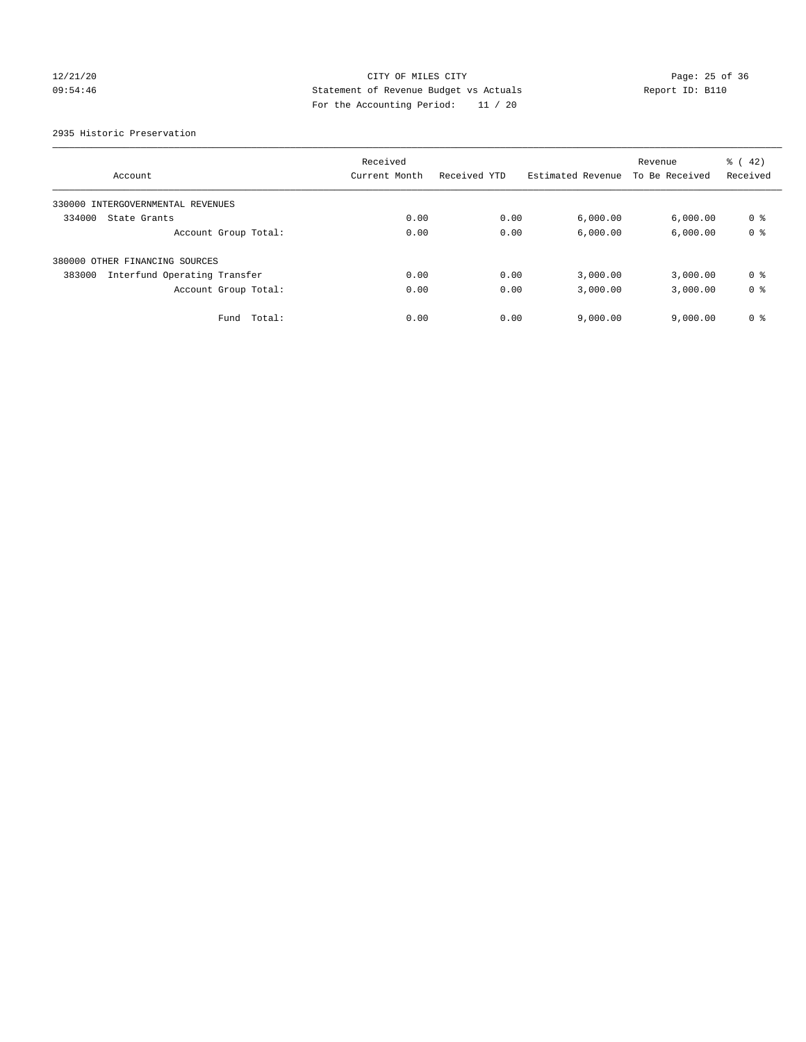## 12/21/20 Page: 25 of 36 09:54:46 Statement of Revenue Budget vs Actuals Report ID: B110 For the Accounting Period: 11 / 20

2935 Historic Preservation

|                                        | Received      |              |                   | Revenue        | $\frac{1}{6}$ ( 42) |
|----------------------------------------|---------------|--------------|-------------------|----------------|---------------------|
| Account                                | Current Month | Received YTD | Estimated Revenue | To Be Received | Received            |
| 330000 INTERGOVERNMENTAL REVENUES      |               |              |                   |                |                     |
| 334000<br>State Grants                 | 0.00          | 0.00         | 6,000.00          | 6,000.00       | 0 %                 |
| Account Group Total:                   | 0.00          | 0.00         | 6,000.00          | 6,000.00       | 0 <sup>8</sup>      |
| 380000 OTHER FINANCING SOURCES         |               |              |                   |                |                     |
| Interfund Operating Transfer<br>383000 | 0.00          | 0.00         | 3,000.00          | 3,000.00       | 0 <sup>8</sup>      |
| Account Group Total:                   | 0.00          | 0.00         | 3,000.00          | 3,000.00       | 0 <sup>8</sup>      |
| Total:<br>Fund                         | 0.00          | 0.00         | 9,000.00          | 9.000.00       | 0 <sup>8</sup>      |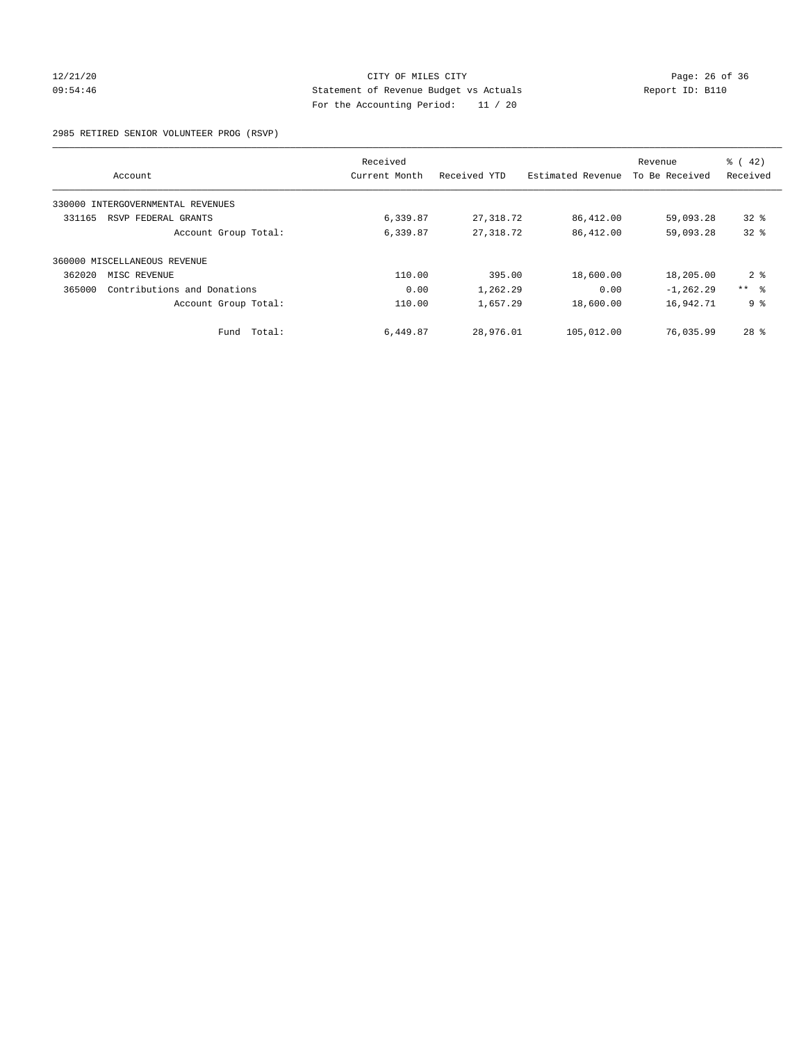# 12/21/20 Page: 26 of 36 CITY OF MILES CITY CHANGES CONTROL PAGE: 26 of 36 09:54:46 Statement of Revenue Budget vs Actuals Report ID: B110 For the Accounting Period: 11 / 20

2985 RETIRED SENIOR VOLUNTEER PROG (RSVP)

|        |                              | Received      |              |                   | Revenue        | $\frac{6}{6}$ ( 42) |
|--------|------------------------------|---------------|--------------|-------------------|----------------|---------------------|
|        | Account                      | Current Month | Received YTD | Estimated Revenue | To Be Received | Received            |
| 330000 | INTERGOVERNMENTAL REVENUES   |               |              |                   |                |                     |
| 331165 | RSVP FEDERAL GRANTS          | 6,339.87      | 27,318.72    | 86,412.00         | 59,093.28      | $32*$               |
|        | Account Group Total:         | 6,339.87      | 27, 318.72   | 86,412.00         | 59,093.28      | 328                 |
|        | 360000 MISCELLANEOUS REVENUE |               |              |                   |                |                     |
| 362020 | MISC REVENUE                 | 110.00        | 395.00       | 18,600.00         | 18,205.00      | 2 <sub>8</sub>      |
| 365000 | Contributions and Donations  | 0.00          | 1,262.29     | 0.00              | $-1, 262.29$   | $***$ $ -$          |
|        | Account Group Total:         | 110.00        | 1,657.29     | 18,600.00         | 16,942.71      | 9 <sup>°</sup>      |
|        | Total:<br>Fund               | 6,449.87      | 28,976.01    | 105,012.00        | 76,035.99      | $28$ $%$            |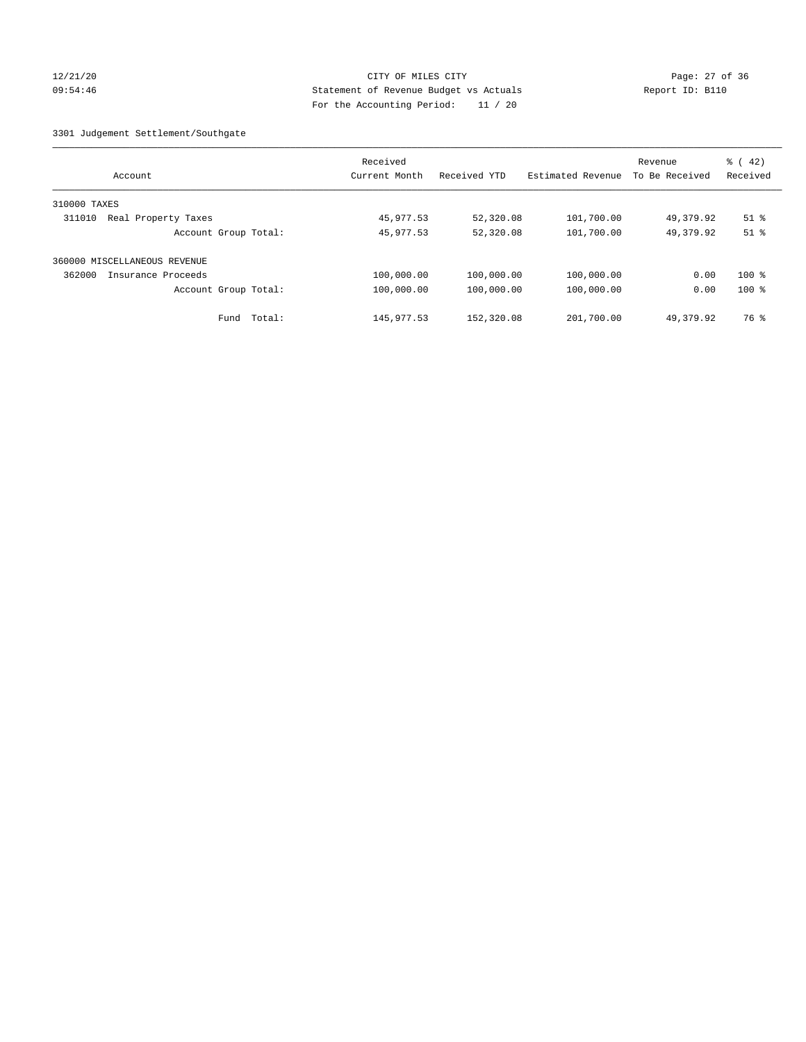## 12/21/20 Page: 27 of 36 09:54:46 Statement of Revenue Budget vs Actuals Report ID: B110 For the Accounting Period: 11 / 20

3301 Judgement Settlement/Southgate

| Account                       | Received<br>Current Month | Received YTD | Estimated Revenue | Revenue<br>To Be Received | $\frac{1}{6}$ ( 42)<br>Received |
|-------------------------------|---------------------------|--------------|-------------------|---------------------------|---------------------------------|
| 310000 TAXES                  |                           |              |                   |                           |                                 |
| Real Property Taxes<br>311010 | 45,977.53                 | 52,320.08    | 101,700.00        | 49,379.92                 | $51$ %                          |
| Account Group Total:          | 45,977.53                 | 52,320.08    | 101,700.00        | 49, 379.92                | $51$ %                          |
| 360000 MISCELLANEOUS REVENUE  |                           |              |                   |                           |                                 |
| 362000<br>Insurance Proceeds  | 100,000.00                | 100,000.00   | 100,000.00        | 0.00                      | $100*$                          |
| Account Group Total:          | 100,000.00                | 100,000.00   | 100,000.00        | 0.00                      | $100$ %                         |
| Total:<br>Fund                | 145, 977.53               | 152,320.08   | 201,700.00        | 49, 379.92                | 76 %                            |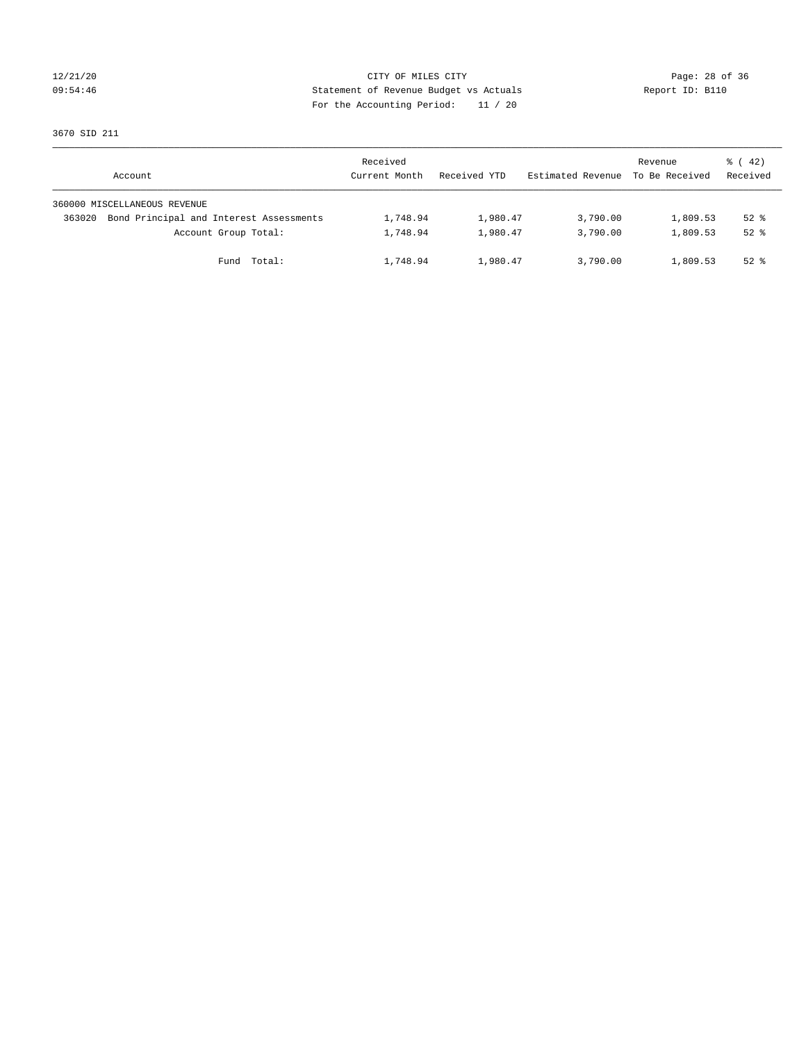## 12/21/20 Page: 28 of 36 09:54:46 Statement of Revenue Budget vs Actuals Report ID: B110 For the Accounting Period: 11 / 20

3670 SID 211

|        | Account                                 | Received<br>Current Month | Received YTD | Estimated Revenue | Revenue<br>To Be Received | $\frac{1}{6}$ ( 42)<br>Received |
|--------|-----------------------------------------|---------------------------|--------------|-------------------|---------------------------|---------------------------------|
|        | 360000 MISCELLANEOUS REVENUE            |                           |              |                   |                           |                                 |
| 363020 | Bond Principal and Interest Assessments | 1,748.94                  | 1,980.47     | 3,790.00          | 1,809.53                  | $52$ $%$                        |
|        | Account Group Total:                    | 1,748.94                  | 1,980.47     | 3,790.00          | 1,809.53                  | $52$ $%$                        |
|        | Fund Total:                             | 1,748.94                  | 1,980.47     | 3,790.00          | 1,809.53                  | $52$ $%$                        |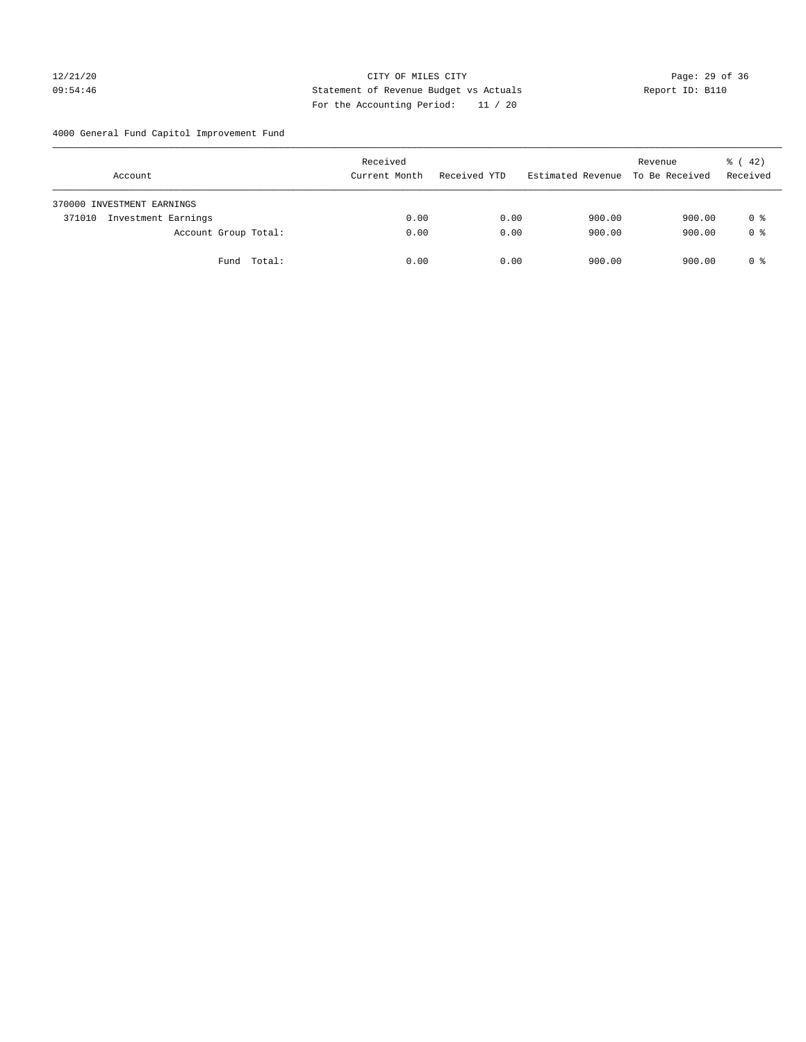# 12/21/20 Page: 29 of 36 09:54:46 Statement of Revenue Budget vs Actuals Report ID: B110 For the Accounting Period: 11 / 20

4000 General Fund Capitol Improvement Fund

| Account                       | Received<br>Current Month | Received YTD | Estimated Revenue | Revenue<br>To Be Received | $\frac{1}{6}$ ( 42)<br>Received |
|-------------------------------|---------------------------|--------------|-------------------|---------------------------|---------------------------------|
| 370000 INVESTMENT EARNINGS    |                           |              |                   |                           |                                 |
| Investment Earnings<br>371010 | 0.00                      | 0.00         | 900.00            | 900.00                    | 0 %                             |
| Account Group Total:          | 0.00                      | 0.00         | 900.00            | 900.00                    | 0 <sup>8</sup>                  |
| Fund Total:                   | 0.00                      | 0.00         | 900.00            | 900.00                    | 0 %                             |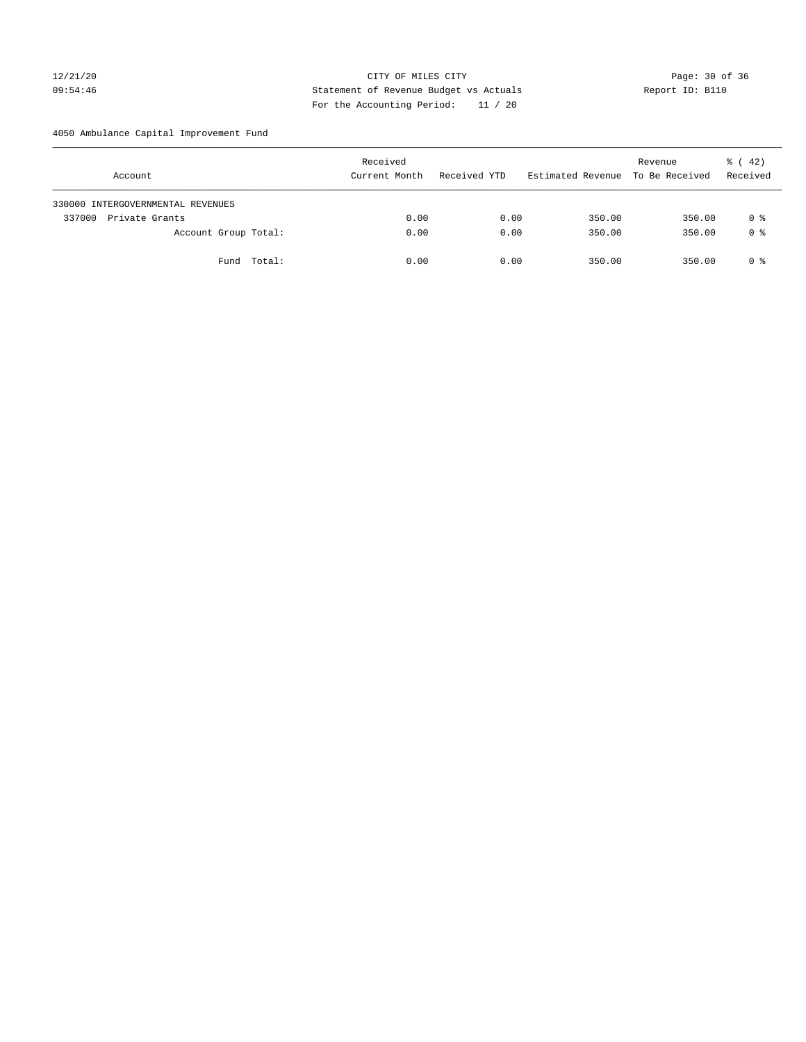# 12/21/20 Page: 30 of 36 CITY OF MILES CITY CHANGES CONTROL PAGE: 30 of 36 09:54:46 Statement of Revenue Budget vs Actuals Report ID: B110 For the Accounting Period: 11 / 20

4050 Ambulance Capital Improvement Fund

| Account                           | Received<br>Current Month | Received YTD | Estimated Revenue | Revenue<br>To Be Received | $\frac{1}{6}$ ( 42)<br>Received |
|-----------------------------------|---------------------------|--------------|-------------------|---------------------------|---------------------------------|
| 330000 INTERGOVERNMENTAL REVENUES |                           |              |                   |                           |                                 |
| 337000<br>Private Grants          | 0.00                      | 0.00         | 350.00            | 350.00                    | 0 %                             |
| Account Group Total:              | 0.00                      | 0.00         | 350.00            | 350.00                    | 0 <sup>8</sup>                  |
| Fund Total:                       | 0.00                      | 0.00         | 350.00            | 350.00                    | 0 %                             |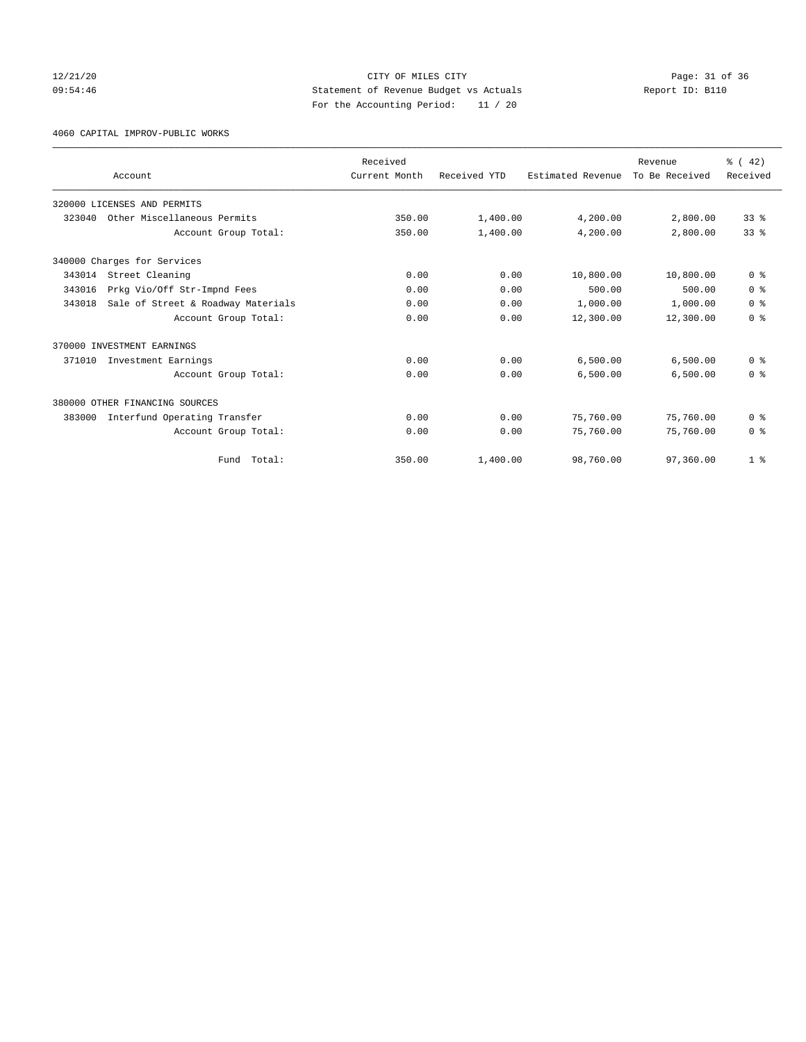## 12/21/20 Page: 31 of 36 CITY OF MILES CITY CHANGES CITY 09:54:46 Statement of Revenue Budget vs Actuals Report ID: B110 For the Accounting Period: 11 / 20

4060 CAPITAL IMPROV-PUBLIC WORKS

|        |                                    | Received      |              |                   | Revenue        | % (42)          |
|--------|------------------------------------|---------------|--------------|-------------------|----------------|-----------------|
|        | Account                            | Current Month | Received YTD | Estimated Revenue | To Be Received | Received        |
|        | 320000 LICENSES AND PERMITS        |               |              |                   |                |                 |
| 323040 | Other Miscellaneous Permits        | 350.00        | 1,400.00     | 4,200.00          | 2,800.00       | 33 <sup>8</sup> |
|        | Account Group Total:               | 350.00        | 1,400.00     | 4,200.00          | 2,800.00       | 33 <sup>8</sup> |
|        | 340000 Charges for Services        |               |              |                   |                |                 |
| 343014 | Street Cleaning                    | 0.00          | 0.00         | 10,800.00         | 10,800.00      | 0 <sup>8</sup>  |
| 343016 | Prkg Vio/Off Str-Impnd Fees        | 0.00          | 0.00         | 500.00            | 500.00         | 0 <sup>8</sup>  |
| 343018 | Sale of Street & Roadway Materials | 0.00          | 0.00         | 1,000.00          | 1,000.00       | 0 <sup>8</sup>  |
|        | Account Group Total:               | 0.00          | 0.00         | 12,300.00         | 12,300.00      | 0 <sup>8</sup>  |
|        | 370000 INVESTMENT EARNINGS         |               |              |                   |                |                 |
| 371010 | Investment Earnings                | 0.00          | 0.00         | 6,500.00          | 6,500.00       | 0 <sup>8</sup>  |
|        | Account Group Total:               | 0.00          | 0.00         | 6,500.00          | 6,500.00       | 0 <sup>8</sup>  |
|        | 380000 OTHER FINANCING SOURCES     |               |              |                   |                |                 |
| 383000 | Interfund Operating Transfer       | 0.00          | 0.00         | 75,760.00         | 75,760.00      | 0 <sup>8</sup>  |
|        | Account Group Total:               | 0.00          | 0.00         | 75,760.00         | 75,760.00      | 0 <sup>8</sup>  |
|        | Total:<br>Fund                     | 350.00        | 1,400.00     | 98,760.00         | 97,360.00      | 1 <sup>8</sup>  |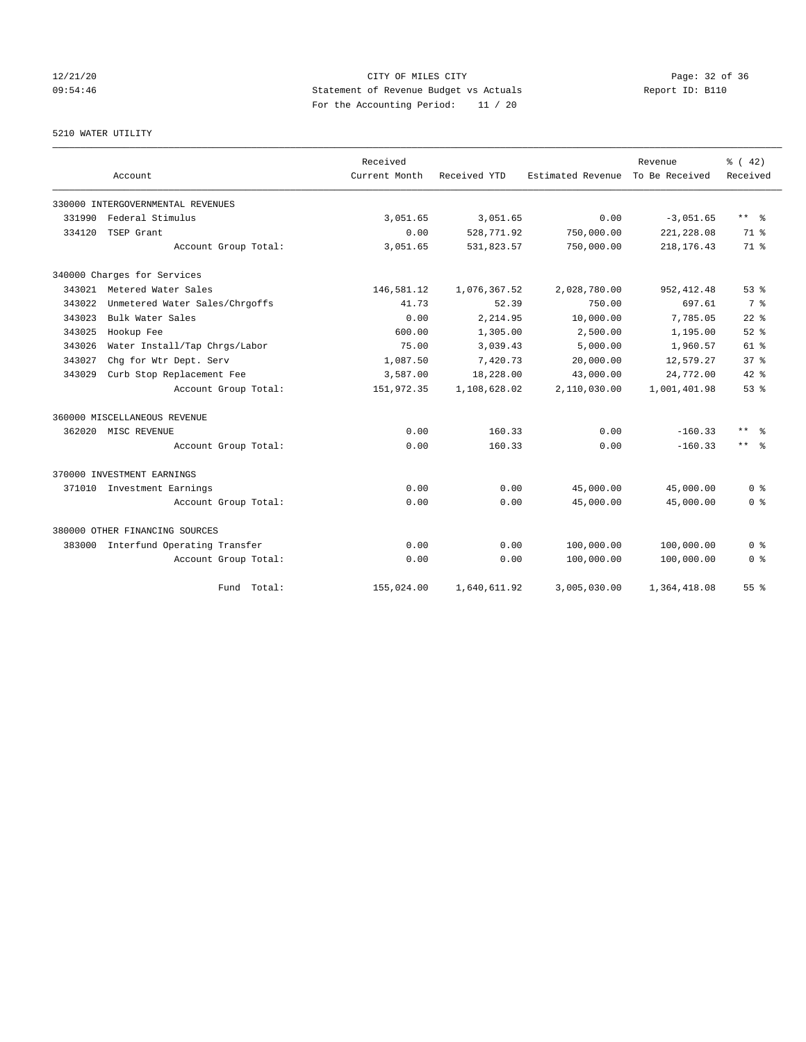# 12/21/20 Page: 32 of 36 09:54:46 Statement of Revenue Budget vs Actuals Report ID: B110 For the Accounting Period: 11 / 20

5210 WATER UTILITY

|        | Account                             | Received<br>Current Month | Received YTD | Estimated Revenue | Revenue<br>To Be Received | % (42)<br>Received |
|--------|-------------------------------------|---------------------------|--------------|-------------------|---------------------------|--------------------|
|        | 330000 INTERGOVERNMENTAL REVENUES   |                           |              |                   |                           |                    |
| 331990 | Federal Stimulus                    | 3,051.65                  | 3,051.65     | 0.00              | $-3,051.65$               | ** %               |
| 334120 | TSEP Grant                          | 0.00                      | 528,771.92   | 750,000.00        | 221, 228.08               | $71*$              |
|        | Account Group Total:                | 3,051.65                  | 531,823.57   | 750,000.00        | 218, 176. 43              | 71 %               |
|        | 340000 Charges for Services         |                           |              |                   |                           |                    |
|        | 343021 Metered Water Sales          | 146,581.12                | 1,076,367.52 | 2,028,780.00      | 952, 412.48               | 53 <sup>8</sup>    |
| 343022 | Unmetered Water Sales/Chrgoffs      | 41.73                     | 52.39        | 750.00            | 697.61                    | 7 %                |
| 343023 | Bulk Water Sales                    | 0.00                      | 2,214.95     | 10,000.00         | 7,785.05                  | $22$ $%$           |
| 343025 | Hookup Fee                          | 600.00                    | 1,305.00     | 2,500.00          | 1,195.00                  | $52$ $%$           |
| 343026 | Water Install/Tap Chrgs/Labor       | 75.00                     | 3,039.43     | 5,000.00          | 1,960.57                  | $61$ $%$           |
| 343027 | Chq for Wtr Dept. Serv              | 1,087.50                  | 7,420.73     | 20,000.00         | 12,579.27                 | 37 <sup>8</sup>    |
| 343029 | Curb Stop Replacement Fee           | 3,587.00                  | 18,228.00    | 43,000.00         | 24,772.00                 | $42*$              |
|        | Account Group Total:                | 151,972.35                | 1,108,628.02 | 2,110,030.00      | 1,001,401.98              | 53 <sup>8</sup>    |
|        | 360000 MISCELLANEOUS REVENUE        |                           |              |                   |                           |                    |
| 362020 | MISC REVENUE                        | 0.00                      | 160.33       | 0.00              | $-160.33$                 | $***$<br>- 옹       |
|        | Account Group Total:                | 0.00                      | 160.33       | 0.00              | $-160.33$                 | $***$ $ -$         |
|        | 370000 INVESTMENT EARNINGS          |                           |              |                   |                           |                    |
|        | 371010 Investment Earnings          | 0.00                      | 0.00         | 45,000.00         | 45,000.00                 | 0 <sup>8</sup>     |
|        | Account Group Total:                | 0.00                      | 0.00         | 45,000.00         | 45,000.00                 | 0 <sup>8</sup>     |
|        | 380000 OTHER FINANCING SOURCES      |                           |              |                   |                           |                    |
|        | 383000 Interfund Operating Transfer | 0.00                      | 0.00         | 100,000.00        | 100,000.00                | 0 <sup>8</sup>     |
|        | Account Group Total:                | 0.00                      | 0.00         | 100,000.00        | 100,000.00                | 0 <sup>8</sup>     |
|        | Fund<br>Total:                      | 155,024.00                | 1,640,611.92 | 3,005,030.00      | 1,364,418.08              | 55 <sup>8</sup>    |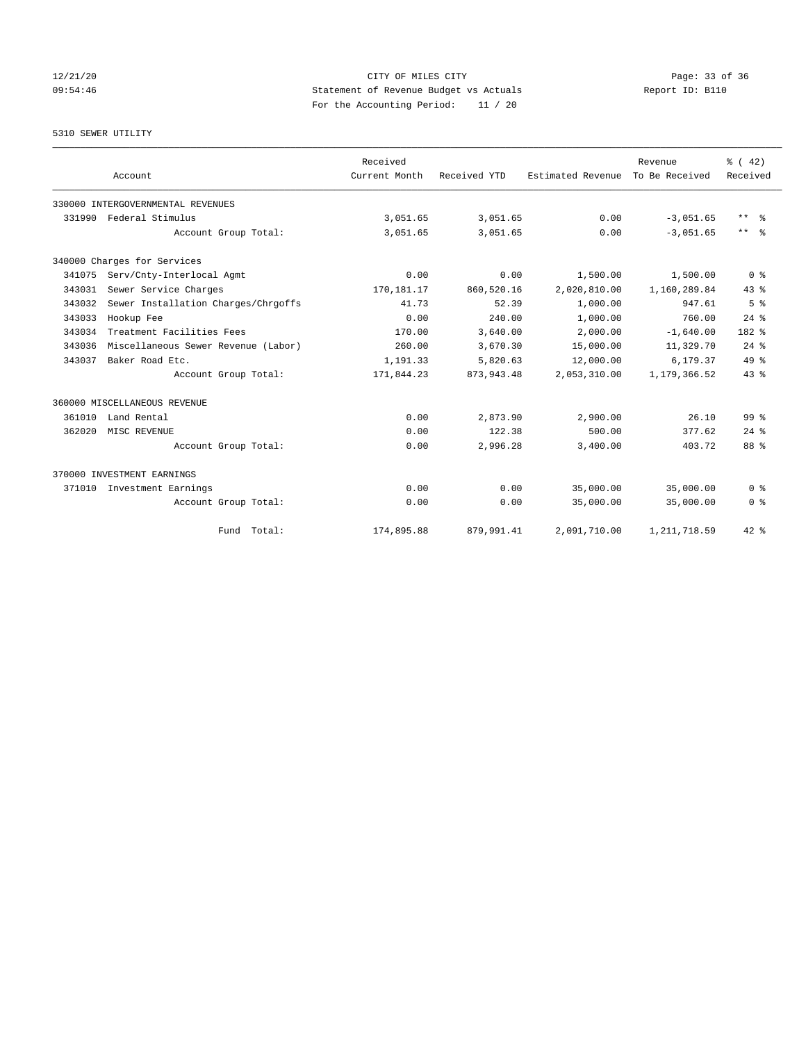## 12/21/20 Page: 33 of 36 09:54:46 Statement of Revenue Budget vs Actuals Report ID: B110 For the Accounting Period: 11 / 20

# 5310 SEWER UTILITY

|        | Account                             | Received<br>Current Month | Received YTD | Estimated Revenue | Revenue<br>To Be Received | % (42)<br>Received      |
|--------|-------------------------------------|---------------------------|--------------|-------------------|---------------------------|-------------------------|
|        | 330000 INTERGOVERNMENTAL REVENUES   |                           |              |                   |                           |                         |
| 331990 | Federal Stimulus                    | 3,051.65                  | 3,051.65     | 0.00              | $-3,051.65$               | $***$ $=$ $\frac{6}{5}$ |
|        | Account Group Total:                | 3,051.65                  | 3,051.65     | 0.00              | $-3.051.65$               | $***$ $%$               |
|        | 340000 Charges for Services         |                           |              |                   |                           |                         |
| 341075 | Serv/Cnty-Interlocal Agmt           | 0.00                      | 0.00         | 1,500.00          | 1,500.00                  | 0 <sup>8</sup>          |
| 343031 | Sewer Service Charges               | 170,181.17                | 860,520.16   | 2,020,810.00      | 1,160,289.84              | 43.8                    |
| 343032 | Sewer Installation Charges/Chrgoffs | 41.73                     | 52.39        | 1,000.00          | 947.61                    | 5 <sup>8</sup>          |
| 343033 | Hookup Fee                          | 0.00                      | 240.00       | 1,000.00          | 760.00                    | $24$ $%$                |
| 343034 | Treatment Facilities Fees           | 170.00                    | 3,640.00     | 2,000.00          | $-1,640.00$               | 182 %                   |
| 343036 | Miscellaneous Sewer Revenue (Labor) | 260.00                    | 3,670.30     | 15,000.00         | 11,329.70                 | $24$ $%$                |
| 343037 | Baker Road Etc.                     | 1,191.33                  | 5,820.63     | 12,000.00         | 6,179.37                  | $49*$                   |
|        | Account Group Total:                | 171,844.23                | 873, 943.48  | 2,053,310.00      | 1,179,366.52              | 43.8                    |
|        | 360000 MISCELLANEOUS REVENUE        |                           |              |                   |                           |                         |
| 361010 | Land Rental                         | 0.00                      | 2,873.90     | 2,900.00          | 26.10                     | 99 <sup>8</sup>         |
| 362020 | MISC REVENUE                        | 0.00                      | 122.38       | 500.00            | 377.62                    | $24$ $%$                |
|        | Account Group Total:                | 0.00                      | 2,996.28     | 3,400.00          | 403.72                    | 88 %                    |
|        | 370000 INVESTMENT EARNINGS          |                           |              |                   |                           |                         |
| 371010 | Investment Earnings                 | 0.00                      | 0.00         | 35,000.00         | 35,000.00                 | 0 <sup>8</sup>          |
|        | Account Group Total:                | 0.00                      | 0.00         | 35,000.00         | 35,000.00                 | 0 <sup>8</sup>          |
|        | Fund Total:                         | 174,895.88                | 879,991.41   | 2,091,710.00      | 1, 211, 718.59            | $42*$                   |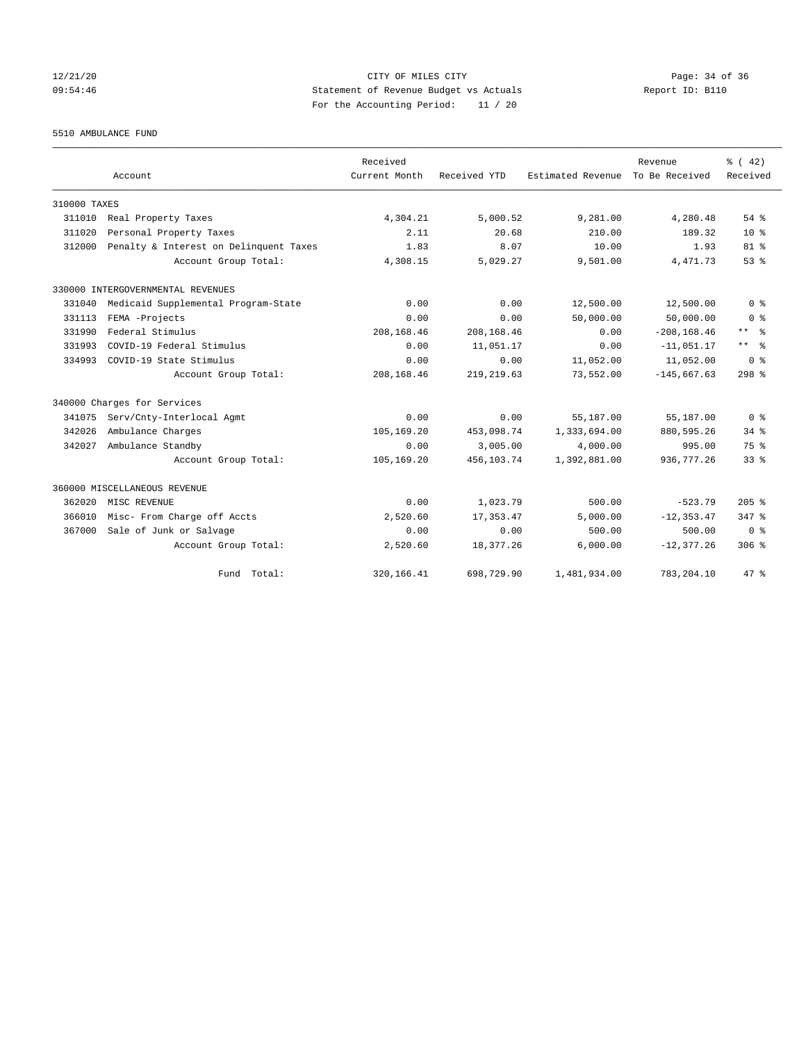## 12/21/20 Page: 34 of 36 09:54:46 Statement of Revenue Budget vs Actuals Report ID: B110 For the Accounting Period: 11 / 20

5510 AMBULANCE FUND

|              | Account                                | Received<br>Current Month | Received YTD | Estimated Revenue To Be Received | Revenue        | $\frac{1}{6}$ ( 42)<br>Received |
|--------------|----------------------------------------|---------------------------|--------------|----------------------------------|----------------|---------------------------------|
| 310000 TAXES |                                        |                           |              |                                  |                |                                 |
| 311010       | Real Property Taxes                    | 4,304.21                  | 5,000.52     | 9,281.00                         | 4,280.48       | $54$ $%$                        |
| 311020       | Personal Property Taxes                | 2.11                      | 20.68        | 210.00                           | 189.32         | $10*$                           |
| 312000       | Penalty & Interest on Delinquent Taxes | 1.83                      | 8.07         | 10.00                            | 1.93           | 81 <sup>°</sup>                 |
|              | Account Group Total:                   | 4,308.15                  | 5,029.27     | 9,501.00                         | 4, 471.73      | 53 <sup>8</sup>                 |
|              | 330000 INTERGOVERNMENTAL REVENUES      |                           |              |                                  |                |                                 |
| 331040       | Medicaid Supplemental Program-State    | 0.00                      | 0.00         | 12,500.00                        | 12,500.00      | 0 <sup>8</sup>                  |
| 331113       | FEMA -Projects                         | 0.00                      | 0.00         | 50,000.00                        | 50,000.00      | 0 <sup>8</sup>                  |
| 331990       | Federal Stimulus                       | 208, 168, 46              | 208,168.46   | 0.00                             | $-208, 168.46$ | ** *                            |
| 331993       | COVID-19 Federal Stimulus              | 0.00                      | 11,051.17    | 0.00                             | $-11,051.17$   | $***$<br>- 응                    |
| 334993       | COVID-19 State Stimulus                | 0.00                      | 0.00         | 11,052.00                        | 11,052.00      | 0 <sup>8</sup>                  |
|              | Account Group Total:                   | 208, 168, 46              | 219, 219, 63 | 73,552.00                        | $-145.667.63$  | $298$ %                         |
|              | 340000 Charges for Services            |                           |              |                                  |                |                                 |
| 341075       | Serv/Cnty-Interlocal Agmt              | 0.00                      | 0.00         | 55,187.00                        | 55,187.00      | 0 <sup>8</sup>                  |
| 342026       | Ambulance Charges                      | 105,169.20                | 453,098.74   | 1,333,694.00                     | 880,595.26     | 34.8                            |
| 342027       | Ambulance Standby                      | 0.00                      | 3,005.00     | 4,000.00                         | 995.00         | 75 %                            |
|              | Account Group Total:                   | 105,169.20                | 456,103.74   | 1,392,881.00                     | 936, 777.26    | 33 <sup>8</sup>                 |
|              | 360000 MISCELLANEOUS REVENUE           |                           |              |                                  |                |                                 |
| 362020       | MISC REVENUE                           | 0.00                      | 1,023.79     | 500.00                           | $-523.79$      | $205$ %                         |
| 366010       | Misc- From Charge off Accts            | 2,520.60                  | 17, 353.47   | 5,000.00                         | $-12, 353.47$  | 347.8                           |
| 367000       | Sale of Junk or Salvage                | 0.00                      | 0.00         | 500.00                           | 500.00         | $0 \text{ }$ $\text{*}$         |
|              | Account Group Total:                   | 2,520.60                  | 18,377.26    | 6,000.00                         | $-12, 377.26$  | 306 <sup>8</sup>                |
|              | Fund Total:                            | 320, 166.41               | 698,729.90   | 1,481,934.00                     | 783,204.10     | 47.8                            |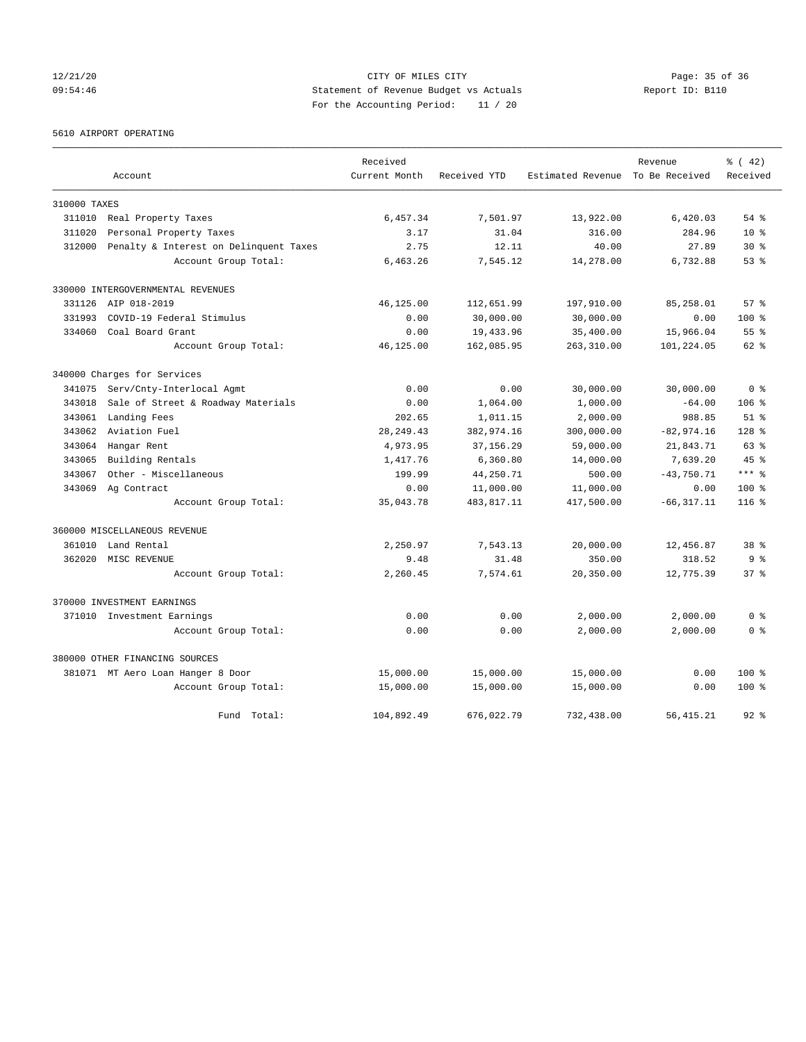## 12/21/20 Page: 35 of 36 CITY OF MILES CITY CHANGES CONTROL PAGE: 35 of 36 09:54:46 Statement of Revenue Budget vs Actuals Report ID: B110 For the Accounting Period: 11 / 20

5610 AIRPORT OPERATING

|              |                                        | Received      |              |                                  | Revenue       | % (42)          |
|--------------|----------------------------------------|---------------|--------------|----------------------------------|---------------|-----------------|
|              | Account                                | Current Month | Received YTD | Estimated Revenue To Be Received |               | Received        |
| 310000 TAXES |                                        |               |              |                                  |               |                 |
| 311010       | Real Property Taxes                    | 6,457.34      | 7,501.97     | 13,922.00                        | 6,420.03      | $54$ $%$        |
| 311020       | Personal Property Taxes                | 3.17          | 31.04        | 316.00                           | 284.96        | $10*$           |
| 312000       | Penalty & Interest on Delinquent Taxes | 2.75          | 12.11        | 40.00                            | 27.89         | $30*$           |
|              | Account Group Total:                   | 6,463.26      | 7,545.12     | 14,278.00                        | 6,732.88      | 53%             |
|              | 330000 INTERGOVERNMENTAL REVENUES      |               |              |                                  |               |                 |
| 331126       | AIP 018-2019                           | 46,125.00     | 112,651.99   | 197,910.00                       | 85,258.01     | 57 <sup>8</sup> |
| 331993       | COVID-19 Federal Stimulus              | 0.00          | 30,000.00    | 30,000.00                        | 0.00          | 100%            |
| 334060       | Coal Board Grant                       | 0.00          | 19,433.96    | 35,400.00                        | 15,966.04     | 55 %            |
|              | Account Group Total:                   | 46,125.00     | 162,085.95   | 263,310.00                       | 101,224.05    | $62$ $%$        |
|              | 340000 Charges for Services            |               |              |                                  |               |                 |
| 341075       | Serv/Cnty-Interlocal Agmt              | 0.00          | 0.00         | 30,000.00                        | 30,000.00     | 0 <sup>8</sup>  |
| 343018       | Sale of Street & Roadway Materials     | 0.00          | 1,064.00     | 1,000.00                         | $-64.00$      | $106$ %         |
| 343061       | Landing Fees                           | 202.65        | 1,011.15     | 2,000.00                         | 988.85        | $51$ $%$        |
| 343062       | Aviation Fuel                          | 28, 249. 43   | 382,974.16   | 300,000.00                       | $-82,974.16$  | $128$ %         |
| 343064       | Hangar Rent                            | 4,973.95      | 37, 156.29   | 59,000.00                        | 21,843.71     | 63 %            |
| 343065       | Building Rentals                       | 1,417.76      | 6,360.80     | 14,000.00                        | 7,639.20      | $45*$           |
| 343067       | Other - Miscellaneous                  | 199.99        | 44,250.71    | 500.00                           | $-43,750.71$  | $***$ $%$       |
| 343069       | Ag Contract                            | 0.00          | 11,000.00    | 11,000.00                        | 0.00          | 100 %           |
|              | Account Group Total:                   | 35,043.78     | 483, 817.11  | 417,500.00                       | $-66, 317.11$ | $116$ %         |
|              | 360000 MISCELLANEOUS REVENUE           |               |              |                                  |               |                 |
| 361010       | Land Rental                            | 2,250.97      | 7,543.13     | 20,000.00                        | 12,456.87     | 38 %            |
| 362020       | MISC REVENUE                           | 9.48          | 31.48        | 350.00                           | 318.52        | 9 <sup>8</sup>  |
|              | Account Group Total:                   | 2,260.45      | 7,574.61     | 20,350.00                        | 12,775.39     | 37%             |
|              | 370000 INVESTMENT EARNINGS             |               |              |                                  |               |                 |
|              | 371010 Investment Earnings             | 0.00          | 0.00         | 2,000.00                         | 2,000.00      | 0 <sup>8</sup>  |
|              | Account Group Total:                   | 0.00          | 0.00         | 2,000.00                         | 2,000.00      | 0 <sup>8</sup>  |
|              | 380000 OTHER FINANCING SOURCES         |               |              |                                  |               |                 |
|              | 381071 MT Aero Loan Hanger 8 Door      | 15,000.00     | 15,000.00    | 15,000.00                        | 0.00          | $100*$          |
|              | Account Group Total:                   | 15,000.00     | 15,000.00    | 15,000.00                        | 0.00          | $100*$          |
|              | Fund Total:                            | 104,892.49    | 676,022.79   | 732,438.00                       | 56, 415.21    | $92*$           |